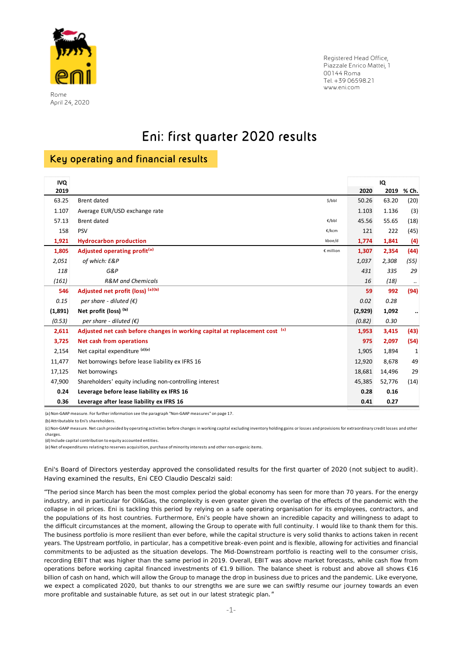

 Rome April 24, 2020 Registered Head Office, Piazzale Enrico Mattei, 1 00144 Roma Tel. +39 06598.21 www.eni.com

# Eni: first quarter 2020 results

## Key operating and financial results

| <b>IVQ</b> |                                                                                        |         | IQ     |              |
|------------|----------------------------------------------------------------------------------------|---------|--------|--------------|
| 2019       |                                                                                        | 2020    | 2019   | % Ch.        |
| 63.25      | \$/bbl<br><b>Brent dated</b>                                                           | 50.26   | 63.20  | (20)         |
| 1.107      | Average EUR/USD exchange rate                                                          | 1.103   | 1.136  | (3)          |
| 57.13      | <b>Brent dated</b><br>€/bbl                                                            | 45.56   | 55.65  | (18)         |
| 158        | <b>PSV</b><br>€/kcm                                                                    | 121     | 222    | (45)         |
| 1,921      | <b>Hydrocarbon production</b><br>kboe/d                                                | 1,774   | 1,841  | (4)          |
| 1,805      | Adjusted operating profit <sup>(a)</sup><br>€ million                                  | 1,307   | 2,354  | (44)         |
| 2,051      | of which: E&P                                                                          | 1,037   | 2,308  | (55)         |
| 118        | G&P                                                                                    | 431     | 335    | 29           |
| (161)      | <b>R&amp;M</b> and Chemicals                                                           | 16      | (18)   | $\ldots$     |
| 546        | Adjusted net profit (loss) (a)(b)                                                      | 59      | 992    | (94)         |
| 0.15       | per share - diluted $(\epsilon)$                                                       | 0.02    | 0.28   |              |
| (1,891)    | Net profit (loss) (b)                                                                  | (2,929) | 1,092  | $\cdot\cdot$ |
| (0.53)     | per share - diluted $(\epsilon)$                                                       | (0.82)  | 0.30   |              |
| 2,611      | Adjusted net cash before changes in working capital at replacement cost <sup>(c)</sup> | 1,953   | 3,415  | (43)         |
| 3,725      | <b>Net cash from operations</b>                                                        | 975     | 2,097  | (54)         |
| 2,154      | Net capital expenditure (d)(e)                                                         | 1,905   | 1,894  | 1            |
| 11,477     | Net borrowings before lease liability ex IFRS 16                                       | 12,920  | 8,678  | 49           |
| 17,125     | Net borrowings                                                                         | 18,681  | 14,496 | 29           |
| 47,900     | Shareholders' equity including non-controlling interest                                | 45,385  | 52,776 | (14)         |
| 0.24       | Leverage before lease liability ex IFRS 16                                             | 0.28    | 0.16   |              |
| 0.36       | Leverage after lease liability ex IFRS 16                                              | 0.41    | 0.27   |              |

(a) Non‐GAAP measure. For further information see the paragraph "Non‐GAAP measures" on page 17.

(b) Attributable to Eni's shareholders.

(c) Non‐GAAP measure. Net cash provided by operating activities before changes in working capital excluding inventory holding gains or losses and provisions for extraordinary credit losses and other charges.

(d) Include capital contribution to equity accounted entities.

(e) Net of expenditures relating to reserves acquisition, purchase of minority interests and other non‐organic items.

Eni's Board of Directors yesterday approved the consolidated results for the first quarter of 2020 (not subject to audit). Having examined the results, Eni CEO Claudio Descalzi said:

*"The period since March has been the most complex period the global economy has seen for more than 70 years. For the energy*  industry, and in particular for Oil&Gas, the complexity is even greater given the overlap of the effects of the pandemic with the *collapse in oil prices. Eni is tackling this period by relying on a safe operating organisation for its employees, contractors, and the populations of its host countries. Furthermore, Eni's people have shown an incredible capacity and willingness to adapt to the difficult circumstances at the moment, allowing the Group to operate with full continuity. I would like to thank them for this. The business portfolio is more resilient than ever before, while the capital structure is very solid thanks to actions taken in recent years. The Upstream portfolio, in particular, has a competitive break-even point and is flexible, allowing for activities and financial commitments to be adjusted as the situation develops. The Mid-Downstream portfolio is reacting well to the consumer crisis, recording EBIT that was higher than the same period in 2019. Overall, EBIT was above market forecasts, while cash flow from operations before working capital financed investments of €1.9 billion. The balance sheet is robust and above all shows €16 billion of cash on hand, which will allow the Group to manage the drop in business due to prices and the pandemic. Like everyone, we expect a complicated 2020, but thanks to our strengths we are sure we can swiftly resume our journey towards an even more profitable and sustainable future, as set out in our latest strategic plan.*"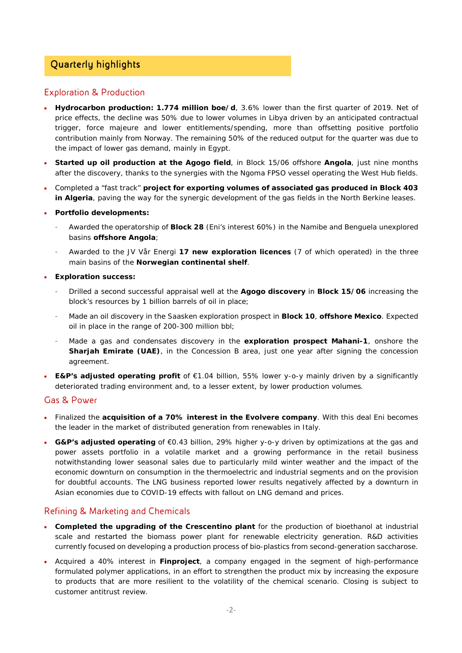## Quarterly highlights

### Exploration & Production

- **Hydrocarbon production: 1.774 million boe/d**, 3.6% lower than the first quarter of 2019. Net of price effects, the decline was 50% due to lower volumes in Libya driven by an anticipated contractual trigger, force majeure and lower entitlements/spending, more than offsetting positive portfolio contribution mainly from Norway. The remaining 50% of the reduced output for the quarter was due to the impact of lower gas demand, mainly in Egypt.
- **Started up oil production at the Agogo field**, in Block 15/06 offshore **Angola**, just nine months after the discovery, thanks to the synergies with the Ngoma FPSO vessel operating the West Hub fields.
- Completed a "fast track" **project for exporting volumes of associated gas produced in Block 403 in Algeria**, paving the way for the synergic development of the gas fields in the North Berkine leases.
- **Portfolio developments:**
	- ‐ Awarded the operatorship of **Block 28** (Eni's interest 60%) in the Namibe and Benguela unexplored basins **offshore Angola**;
	- ‐ Awarded to the JV Vår Energi **17 new exploration licences** (7 of which operated) in the three main basins of the **Norwegian continental shelf**.
- **Exploration success:** 
	- ‐ Drilled a second successful appraisal well at the **Agogo discovery** in **Block 15/06** increasing the block's resources by 1 billion barrels of oil in place;
	- ‐ Made an oil discovery in the Saasken exploration prospect in **Block 10**, **offshore Mexico**. Expected oil in place in the range of 200-300 million bbl;
	- ‐ Made a gas and condensates discovery in the **exploration prospect Mahani-1**, onshore the **Sharjah Emirate (UAE)**, in the Concession B area, just one year after signing the concession agreement.
- **E&P's adjusted operating profit** of €1.04 billion, 55% lower y-o-y mainly driven by a significantly deteriorated trading environment and, to a lesser extent, by lower production volumes.

### Gas & Power

- Finalized the **acquisition of a 70% interest in the Evolvere company**. With this deal Eni becomes the leader in the market of distributed generation from renewables in Italy.
- **G&P's adjusted operating** of €0.43 billion, 29% higher y-o-y driven by optimizations at the gas and power assets portfolio in a volatile market and a growing performance in the retail business notwithstanding lower seasonal sales due to particularly mild winter weather and the impact of the economic downturn on consumption in the thermoelectric and industrial segments and on the provision for doubtful accounts. The LNG business reported lower results negatively affected by a downturn in Asian economies due to COVID-19 effects with fallout on LNG demand and prices.

### Refining & Marketing and Chemicals

- **Completed the upgrading of the Crescentino plant** for the production of bioethanol at industrial scale and restarted the biomass power plant for renewable electricity generation. R&D activities currently focused on developing a production process of bio-plastics from second-generation saccharose.
- Acquired a 40% interest in **Finproject**, a company engaged in the segment of high-performance formulated polymer applications, in an effort to strengthen the product mix by increasing the exposure to products that are more resilient to the volatility of the chemical scenario. Closing is subject to customer antitrust review.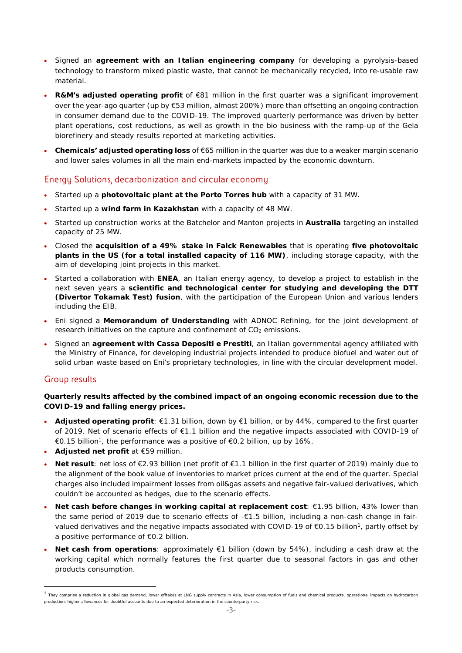- Signed an **agreement with an Italian engineering company** for developing a pyrolysis-based technology to transform mixed plastic waste, that cannot be mechanically recycled, into re-usable raw material.
- **R&M's adjusted operating profit** of €81 million in the first quarter was a significant improvement over the year-ago quarter (up by €53 million, almost 200%) more than offsetting an ongoing contraction in consumer demand due to the COVID-19. The improved quarterly performance was driven by better plant operations, cost reductions, as well as growth in the bio business with the ramp-up of the Gela biorefinery and steady results reported at marketing activities.
- **Chemicals' adjusted operating loss** of €65 million in the quarter was due to a weaker margin scenario and lower sales volumes in all the main end-markets impacted by the economic downturn.

### Energy Solutions, decarbonization and circular economy

- Started up a **photovoltaic plant at the Porto Torres hub** with a capacity of 31 MW.
- Started up a **wind farm in Kazakhstan** with a capacity of 48 MW.
- Started up construction works at the Batchelor and Manton projects in **Australia** targeting an installed capacity of 25 MW.
- Closed the **acquisition of a 49% stake in Falck Renewables** that is operating **five photovoltaic plants in the US (for a total installed capacity of 116 MW)**, including storage capacity, with the aim of developing joint projects in this market.
- Started a collaboration with **ENEA**, an Italian energy agency, to develop a project to establish in the next seven years a **scientific and technological center for studying and developing the DTT (Divertor Tokamak Test) fusion**, with the participation of the European Union and various lenders including the EIB.
- Eni signed a **Memorandum of Understanding** with ADNOC Refining, for the joint development of research initiatives on the capture and confinement of CO<sub>2</sub> emissions.
- Signed an **agreement with Cassa Depositi e Prestiti**, an Italian governmental agency affiliated with the Ministry of Finance, for developing industrial projects intended to produce biofuel and water out of solid urban waste based on Eni's proprietary technologies, in line with the circular development model.

### Group results

### **Quarterly results affected by the combined impact of an ongoing economic recession due to the COVID-19 and falling energy prices.**

- **Adjusted operating profit**: €1.31 billion, down by €1 billion, or by 44%, compared to the first quarter of 2019. Net of scenario effects of €1.1 billion and the negative impacts associated with COVID-19 of  $€0.15$  billion<sup>1</sup>, the performance was a positive of  $€0.2$  billion, up by 16%.
- **Adjusted net profit** at €59 million.

- **Net result**: net loss of €2.93 billion (net profit of €1.1 billion in the first quarter of 2019) mainly due to the alignment of the book value of inventories to market prices current at the end of the quarter. Special charges also included impairment losses from oil&gas assets and negative fair-valued derivatives, which couldn't be accounted as hedges, due to the scenario effects.
- **Net cash before changes in working capital at replacement cost**: €1.95 billion, 43% lower than the same period of 2019 due to scenario effects of -€1.5 billion, including a non-cash change in fairvalued derivatives and the negative impacts associated with COVID-19 of  $\epsilon$ 0.15 billion<sup>1</sup>, partly offset by a positive performance of €0.2 billion.
- **Net cash from operations**: approximately €1 billion (down by 54%), including a cash draw at the working capital which normally features the first quarter due to seasonal factors in gas and other products consumption.

<sup>1</sup> They comprise a reduction in global gas demand, lower offtakes at LNG supply contracts in Asia, lower consumption of fuels and chemical products, operational impacts on hydrocarbon production, higher allowances for doubtful accounts due to an expected deterioration in the counterparty risk.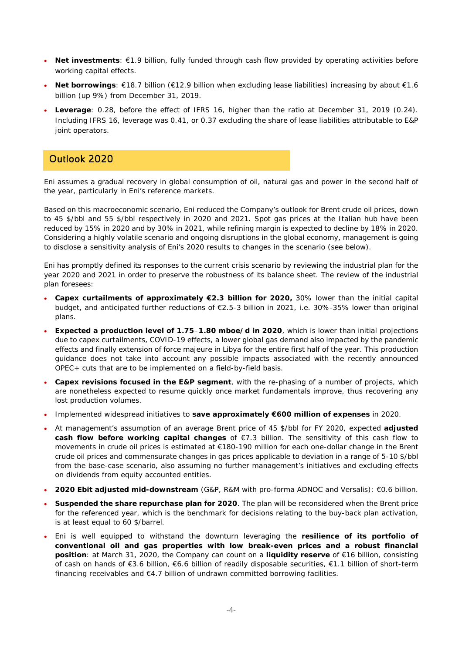- **Net investments**: €1.9 billion, fully funded through cash flow provided by operating activities before working capital effects.
- **Net borrowings**: €18.7 billion (€12.9 billion when excluding lease liabilities) increasing by about €1.6 billion (up 9%) from December 31, 2019.
- **Leverage**: 0.28, before the effect of IFRS 16, higher than the ratio at December 31, 2019 (0.24). Including IFRS 16, leverage was 0.41, or 0.37 excluding the share of lease liabilities attributable to E&P joint operators.

### Outlook 2020

Eni assumes a gradual recovery in global consumption of oil, natural gas and power in the second half of the year, particularly in Eni's reference markets.

Based on this macroeconomic scenario, Eni reduced the Company's outlook for Brent crude oil prices, down to 45 \$/bbl and 55 \$/bbl respectively in 2020 and 2021. Spot gas prices at the Italian hub have been reduced by 15% in 2020 and by 30% in 2021, while refining margin is expected to decline by 18% in 2020. Considering a highly volatile scenario and ongoing disruptions in the global economy, management is going to disclose a sensitivity analysis of Eni's 2020 results to changes in the scenario (see below).

Eni has promptly defined its responses to the current crisis scenario by reviewing the industrial plan for the year 2020 and 2021 in order to preserve the robustness of its balance sheet. The review of the industrial plan foresees:

- **Capex curtailments of approximately €2.3 billion for 2020,** 30% lower than the initial capital budget, and anticipated further reductions of €2.5-3 billion in 2021, i.e. 30%-35% lower than original plans.
- **Expected a production level of 1.75**–**1.80 mboe/d in 2020**, which is lower than initial projections due to capex curtailments, COVID-19 effects, a lower global gas demand also impacted by the pandemic effects and finally extension of force majeure in Libya for the entire first half of the year. This production guidance does not take into account any possible impacts associated with the recently announced OPEC+ cuts that are to be implemented on a field-by-field basis.
- **Capex revisions focused in the E&P segment**, with the re-phasing of a number of projects, which are nonetheless expected to resume quickly once market fundamentals improve, thus recovering any lost production volumes.
- Implemented widespread initiatives to **save approximately €600 million of expenses** in 2020.
- At management's assumption of an average Brent price of 45 \$/bbl for FY 2020, expected **adjusted cash flow before working capital changes** of €7.3 billion. The sensitivity of this cash flow to movements in crude oil prices is estimated at €180-190 million for each one-dollar change in the Brent crude oil prices and commensurate changes in gas prices applicable to deviation in a range of 5-10 \$/bbl from the base-case scenario, also assuming no further management's initiatives and excluding effects on dividends from equity accounted entities.
- **2020 Ebit adjusted mid-downstream** (G&P, R&M with pro-forma ADNOC and Versalis): €0.6 billion.
- **Suspended the share repurchase plan for 2020**. The plan will be reconsidered when the Brent price for the referenced year, which is the benchmark for decisions relating to the buy-back plan activation, is at least equal to 60 \$/barrel.
- Eni is well equipped to withstand the downturn leveraging the **resilience of its portfolio of conventional oil and gas properties with low break-even prices and a robust financial position**: at March 31, 2020, the Company can count on a **liquidity reserve** of €16 billion, consisting of cash on hands of €3.6 billion, €6.6 billion of readily disposable securities, €1.1 billion of short-term financing receivables and  $E4.7$  billion of undrawn committed borrowing facilities.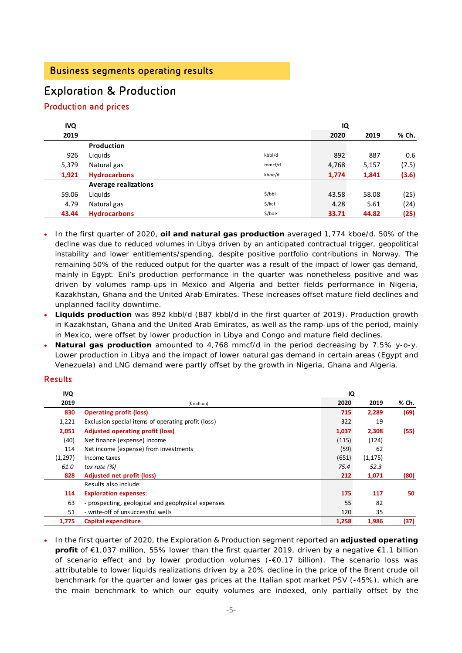# Exploration & Production

### Production and prices

| <b>IVQ</b> |                             |          | IQ    |       |       |
|------------|-----------------------------|----------|-------|-------|-------|
| 2019       |                             |          | 2020  | 2019  | % Ch. |
|            | <b>Production</b>           |          |       |       |       |
| 926        | Liquids                     | kbbl/d   | 892   | 887   | 0.6   |
| 5,379      | Natural gas                 | mmcf/d   | 4,768 | 5,157 | (7.5) |
| 1,921      | <b>Hydrocarbons</b>         | kboe/d   | 1,774 | 1,841 | (3.6) |
|            | <b>Average realizations</b> |          |       |       |       |
| 59.06      | Liquids                     | 5/bbl    | 43.58 | 58.08 | (25)  |
| 4.79       | Natural gas                 | $$$ /kcf | 4.28  | 5.61  | (24)  |
| 43.44      | <b>Hydrocarbons</b>         | \$/boe   | 33.71 | 44.82 | (25)  |

- In the first quarter of 2020, **oil and natural gas production** averaged 1,774 kboe/d. 50% of the decline was due to reduced volumes in Libya driven by an anticipated contractual trigger, geopolitical instability and lower entitlements/spending, despite positive portfolio contributions in Norway. The remaining 50% of the reduced output for the quarter was a result of the impact of lower gas demand, mainly in Egypt. Eni's production performance in the quarter was nonetheless positive and was driven by volumes ramp-ups in Mexico and Algeria and better fields performance in Nigeria, Kazakhstan, Ghana and the United Arab Emirates. These increases offset mature field declines and unplanned facility downtime.
- **Liquids production** was 892 kbbl/d (887 kbbl/d in the first quarter of 2019). Production growth in Kazakhstan, Ghana and the United Arab Emirates, as well as the ramp-ups of the period, mainly in Mexico, were offset by lower production in Libya and Congo and mature field declines.
- **Natural gas production** amounted to 4,768 mmcf/d in the period decreasing by 7.5% y-o-y. Lower production in Libya and the impact of lower natural gas demand in certain areas (Egypt and Venezuela) and LNG demand were partly offset by the growth in Nigeria, Ghana and Algeria.

### Results

| <b>IVQ</b> |                                                    | IQ    |          |       |
|------------|----------------------------------------------------|-------|----------|-------|
| 2019       | $(E$ million)                                      | 2020  | 2019     | % Ch. |
| 830        | <b>Operating profit (loss)</b>                     | 715   | 2,289    | (69)  |
| 1,221      | Exclusion special items of operating profit (loss) | 322   | 19       |       |
| 2,051      | <b>Adjusted operating profit (loss)</b>            | 1,037 | 2,308    | (55)  |
| (40)       | Net finance (expense) income                       | (115) | (124)    |       |
| 114        | Net income (expense) from investments              | (59)  | 62       |       |
| (1,297)    | Income taxes                                       | (651) | (1, 175) |       |
| 61.0       | tax rate $(%)$                                     | 75.4  | 52.3     |       |
| 828        | Adjusted net profit (loss)                         | 212   | 1,071    | (80)  |
|            | Results also include:                              |       |          |       |
| 114        | <b>Exploration expenses:</b>                       | 175   | 117      | 50    |
| 63         | - prospecting, geological and geophysical expenses | 55    | 82       |       |
| 51         | - write-off of unsuccessful wells                  | 120   | 35       |       |
| 1,775      | Capital expenditure                                | 1,258 | 1,986    | (37)  |

 In the first quarter of 2020, the Exploration & Production segment reported an **adjusted operating profit** of €1,037 million, 55% lower than the first quarter 2019, driven by a negative €1.1 billion of scenario effect and by lower production volumes (-€0.17 billion). The scenario loss was attributable to lower liquids realizations driven by a 20% decline in the price of the Brent crude oil benchmark for the quarter and lower gas prices at the Italian spot market PSV (-45%), which are the main benchmark to which our equity volumes are indexed, only partially offset by the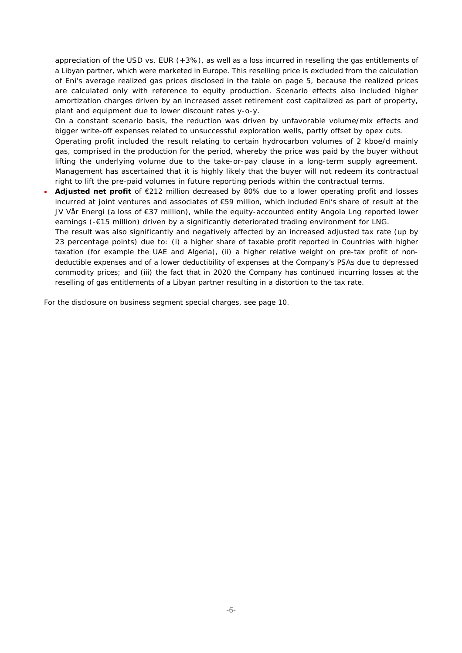appreciation of the USD vs. EUR (+3%), as well as a loss incurred in reselling the gas entitlements of a Libyan partner, which were marketed in Europe. This reselling price is excluded from the calculation of Eni's average realized gas prices disclosed in the table on page 5, because the realized prices are calculated only with reference to equity production. Scenario effects also included higher amortization charges driven by an increased asset retirement cost capitalized as part of property, plant and equipment due to lower discount rates y-o-y.

On a constant scenario basis, the reduction was driven by unfavorable volume/mix effects and bigger write-off expenses related to unsuccessful exploration wells, partly offset by opex cuts.

Operating profit included the result relating to certain hydrocarbon volumes of 2 kboe/d mainly gas, comprised in the production for the period, whereby the price was paid by the buyer without lifting the underlying volume due to the take-or-pay clause in a long-term supply agreement. Management has ascertained that it is highly likely that the buyer will not redeem its contractual right to lift the pre-paid volumes in future reporting periods within the contractual terms.

 **Adjusted net profit** of €212 million decreased by 80% due to a lower operating profit and losses incurred at joint ventures and associates of €59 million, which included Eni's share of result at the JV Vår Energi (a loss of €37 million), while the equity-accounted entity Angola Lng reported lower earnings (-€15 million) driven by a significantly deteriorated trading environment for LNG.

The result was also significantly and negatively affected by an increased adjusted tax rate (up by 23 percentage points) due to: (i) a higher share of taxable profit reported in Countries with higher taxation (for example the UAE and Algeria), (ii) a higher relative weight on pre-tax profit of nondeductible expenses and of a lower deductibility of expenses at the Company's PSAs due to depressed commodity prices; and (iii) the fact that in 2020 the Company has continued incurring losses at the reselling of gas entitlements of a Libyan partner resulting in a distortion to the tax rate.

For the disclosure on business segment special charges, see page 10.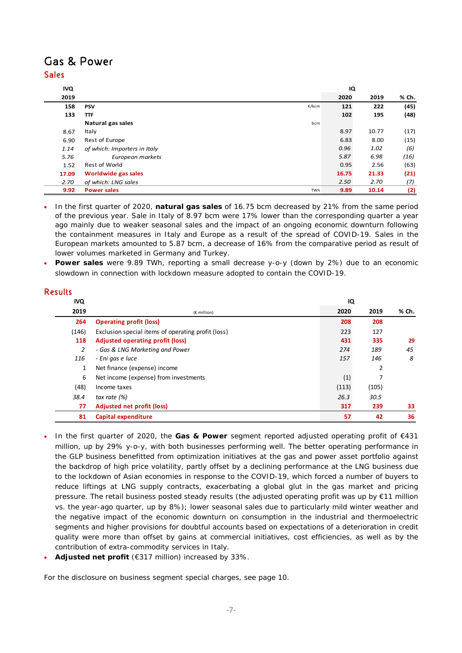## Gas & Power Sales

| <b>IVQ</b> |                              | IQ          |       |       |
|------------|------------------------------|-------------|-------|-------|
| 2019       |                              | 2020        | 2019  | % Ch. |
| 158        | <b>PSV</b><br>€/kcm          | 121         | 222   | (45)  |
| 133        | <b>TTF</b>                   | 102         | 195   | (48)  |
|            | Natural gas sales            | bcm         |       |       |
| 8.67       | Italy                        | 8.97        | 10.77 | (17)  |
| 6.90       | Rest of Europe               | 6.83        | 8.00  | (15)  |
| 1.14       | of which: Importers in Italy | 0.96        | 1.02  | (6)   |
| 5.76       | European markets             | 5.87        | 6.98  | (16)  |
| 1.52       | Rest of World                | 0.95        | 2.56  | (63)  |
| 17.09      | Worldwide gas sales          | 16.75       | 21.33 | (21)  |
| 2.70       | of which: LNG sales          | 2.50        | 2.70  | (7)   |
| 9.92       | <b>Power sales</b>           | 9.89<br>TWh | 10.14 | (2)   |

 In the first quarter of 2020, **natural gas sales** of 16.75 bcm decreased by 21% from the same period of the previous year. Sale in Italy of 8.97 bcm were 17% lower than the corresponding quarter a year ago mainly due to weaker seasonal sales and the impact of an ongoing economic downturn following the containment measures in Italy and Europe as a result of the spread of COVID-19. Sales in the European markets amounted to 5.87 bcm, a decrease of 16% from the comparative period as result of lower volumes marketed in Germany and Turkey.

 **Power sales** were 9.89 TWh, reporting a small decrease y-o-y (down by 2%) due to an economic slowdown in connection with lockdown measure adopted to contain the COVID-19.

### Results

| <b>IVQ</b> |                                                    | IQ    |       |       |
|------------|----------------------------------------------------|-------|-------|-------|
| 2019       | $(E$ million)                                      | 2020  | 2019  | % Ch. |
| 264        | <b>Operating profit (loss)</b>                     | 208   | 208   |       |
| (146)      | Exclusion special items of operating profit (loss) | 223   | 127   |       |
| 118        | <b>Adjusted operating profit (loss)</b>            | 431   | 335   | 29    |
| 2          | - Gas & LNG Marketing and Power                    | 274   | 189   | 45    |
| 116        | - Eni gas e luce                                   | 157   | 146   | 8     |
| 1          | Net finance (expense) income                       |       | 2     |       |
| 6          | Net income (expense) from investments              | (1)   |       |       |
| (48)       | Income taxes                                       | (113) | (105) |       |
| 38.4       | tax rate $(%)$                                     | 26.3  | 30.5  |       |
| 77         | <b>Adjusted net profit (loss)</b>                  | 317   | 239   | 33    |
| 81         | Capital expenditure                                | 57    | 42    | 36    |

- In the first quarter of 2020, the **Gas & Power** segment reported adjusted operating profit of €431 million, up by 29% y-o-y, with both businesses performing well. The better operating performance in the GLP business benefitted from optimization initiatives at the gas and power asset portfolio against the backdrop of high price volatility, partly offset by a declining performance at the LNG business due to the lockdown of Asian economies in response to the COVID-19, which forced a number of buyers to reduce liftings at LNG supply contracts, exacerbating a global glut in the gas market and pricing pressure. The retail business posted steady results (the adjusted operating profit was up by €11 million vs. the year-ago quarter, up by 8%); lower seasonal sales due to particularly mild winter weather and the negative impact of the economic downturn on consumption in the industrial and thermoelectric segments and higher provisions for doubtful accounts based on expectations of a deterioration in credit quality were more than offset by gains at commercial initiatives, cost efficiencies, as well as by the contribution of extra-commodity services in Italy.
- **Adjusted net profit** (€317 million) increased by 33%.

For the disclosure on business segment special charges, see page 10.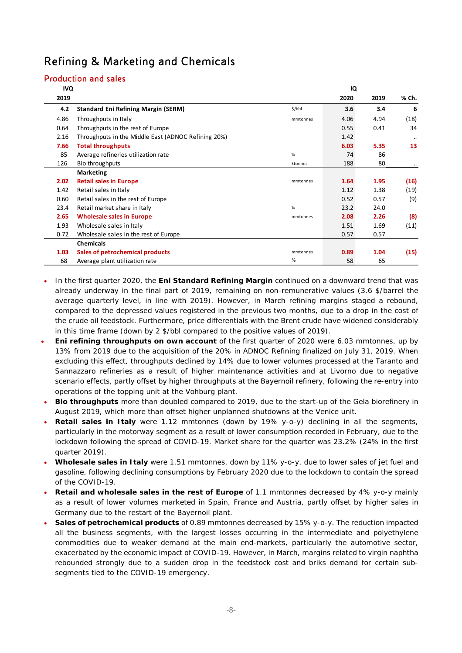# Refining & Marketing and Chemicals

### Production and sales

| <b>IVQ</b> |                                                     |          | IQ   |      |           |
|------------|-----------------------------------------------------|----------|------|------|-----------|
| 2019       |                                                     |          | 2020 | 2019 | % Ch.     |
| 4.2        | <b>Standard Eni Refining Margin (SERM)</b>          | \$/bbl   | 3.6  | 3.4  | 6         |
| 4.86       | Throughputs in Italy                                | mmtonnes | 4.06 | 4.94 | (18)      |
| 0.64       | Throughputs in the rest of Europe                   |          | 0.55 | 0.41 | 34        |
| 2.16       | Throughputs in the Middle East (ADNOC Refining 20%) |          | 1.42 |      | $\cdot$ . |
| 7.66       | <b>Total throughputs</b>                            |          | 6.03 | 5.35 | 13        |
| 85         | Average refineries utilization rate                 | %        | 74   | 86   |           |
| 126        | Bio throughputs                                     | ktonnes  | 188  | 80   |           |
|            | <b>Marketing</b>                                    |          |      |      |           |
| 2.02       | <b>Retail sales in Europe</b>                       | mmtonnes | 1.64 | 1.95 | (16)      |
| 1.42       | Retail sales in Italy                               |          | 1.12 | 1.38 | (19)      |
| 0.60       | Retail sales in the rest of Europe                  |          | 0.52 | 0.57 | (9)       |
| 23.4       | Retail market share in Italy                        | %        | 23.2 | 24.0 |           |
| 2.65       | <b>Wholesale sales in Europe</b>                    | mmtonnes | 2.08 | 2.26 | (8)       |
| 1.93       | Wholesale sales in Italy                            |          | 1.51 | 1.69 | (11)      |
| 0.72       | Wholesale sales in the rest of Europe               |          | 0.57 | 0.57 |           |
|            | <b>Chemicals</b>                                    |          |      |      |           |
| 1.03       | Sales of petrochemical products                     | mmtonnes | 0.89 | 1.04 | (15)      |
| 68         | Average plant utilization rate                      | %        | 58   | 65   |           |

- In the first quarter 2020, the **Eni Standard Refining Margin** continued on a downward trend that was already underway in the final part of 2019, remaining on non-remunerative values (3.6 \$/barrel the average quarterly level, in line with 2019). However, in March refining margins staged a rebound, compared to the depressed values registered in the previous two months, due to a drop in the cost of the crude oil feedstock. Furthermore, price differentials with the Brent crude have widened considerably in this time frame (down by 2 \$/bbl compared to the positive values of 2019).
- **Eni refining throughputs on own account** of the first quarter of 2020 were 6.03 mmtonnes, up by 13% from 2019 due to the acquisition of the 20% in ADNOC Refining finalized on July 31, 2019. When excluding this effect, throughputs declined by 14% due to lower volumes processed at the Taranto and Sannazzaro refineries as a result of higher maintenance activities and at Livorno due to negative scenario effects, partly offset by higher throughputs at the Bayernoil refinery, following the re-entry into operations of the topping unit at the Vohburg plant.
- **Bio throughputs** more than doubled compared to 2019, due to the start-up of the Gela biorefinery in August 2019, which more than offset higher unplanned shutdowns at the Venice unit.
- **Retail sales in Italy** were 1.12 mmtonnes (down by 19% y-o-y) declining in all the segments, particularly in the motorway segment as a result of lower consumption recorded in February, due to the lockdown following the spread of COVID-19. Market share for the quarter was 23.2% (24% in the first quarter 2019).
- **Wholesale sales in Italy** were 1.51 mmtonnes, down by 11% y-o-y, due to lower sales of jet fuel and gasoline, following declining consumptions by February 2020 due to the lockdown to contain the spread of the COVID-19.
- **Retail and wholesale sales in the rest of Europe** of 1.1 mmtonnes decreased by 4% y-o-y mainly as a result of lower volumes marketed in Spain, France and Austria, partly offset by higher sales in Germany due to the restart of the Bayernoil plant.
- **Sales of petrochemical products** of 0.89 mmtonnes decreased by 15% y-o-y. The reduction impacted all the business segments, with the largest losses occurring in the intermediate and polyethylene commodities due to weaker demand at the main end-markets, particularly the automotive sector, exacerbated by the economic impact of COVID-19. However, in March, margins related to virgin naphtha rebounded strongly due to a sudden drop in the feedstock cost and briks demand for certain subsegments tied to the COVID-19 emergency.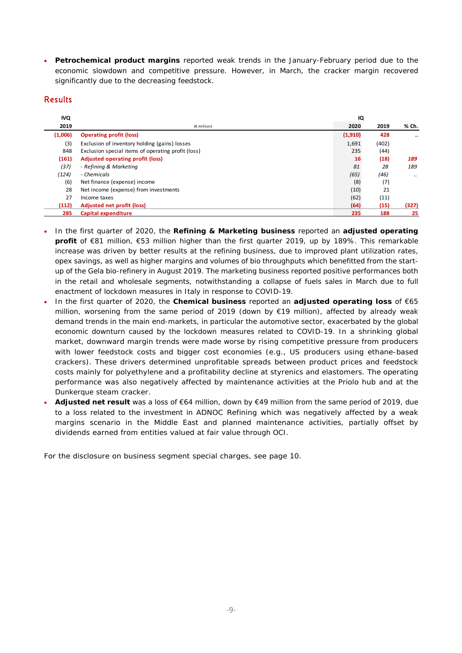**Petrochemical product margins** reported weak trends in the January-February period due to the economic slowdown and competitive pressure. However, in March, the cracker margin recovered significantly due to the decreasing feedstock.

### Results

| <b>IVQ</b> |                                                    | IQ      |       |                      |
|------------|----------------------------------------------------|---------|-------|----------------------|
| 2019       | $(E$ million)                                      | 2020    | 2019  | % Ch.                |
| (1,006)    | <b>Operating profit (loss)</b>                     | (1,910) | 428   | $\ddot{\phantom{a}}$ |
| (3)        | Exclusion of inventory holding (gains) losses      | 1,691   | (402) |                      |
| 848        | Exclusion special items of operating profit (loss) | 235     | (44)  |                      |
| (161)      | <b>Adjusted operating profit (loss)</b>            | 16      | (18)  | 189                  |
| (37)       | - Refining & Marketing                             | 81      | 28    | 189                  |
| (124)      | - Chemicals                                        | (65)    | (46)  | $\cdots$             |
| (6)        | Net finance (expense) income                       | (8)     | (7)   |                      |
| 28         | Net income (expense) from investments              | (10)    | 21    |                      |
| 27         | Income taxes                                       | (62)    | (11)  |                      |
| (112)      | <b>Adjusted net profit (loss)</b>                  | (64)    | (15)  | (327)                |
| 285        | Capital expenditure                                | 235     | 188   | 25                   |

- In the first quarter of 2020, the **Refining & Marketing business** reported an **adjusted operating profit** of €81 million, €53 million higher than the first quarter 2019, up by 189%. This remarkable increase was driven by better results at the refining business, due to improved plant utilization rates, opex savings, as well as higher margins and volumes of bio throughputs which benefitted from the startup of the Gela bio-refinery in August 2019. The marketing business reported positive performances both in the retail and wholesale segments, notwithstanding a collapse of fuels sales in March due to full enactment of lockdown measures in Italy in response to COVID-19.
- In the first quarter of 2020, the **Chemical business** reported an **adjusted operating loss** of €65 million, worsening from the same period of 2019 (down by €19 million), affected by already weak demand trends in the main end-markets, in particular the automotive sector, exacerbated by the global economic downturn caused by the lockdown measures related to COVID-19. In a shrinking global market, downward margin trends were made worse by rising competitive pressure from producers with lower feedstock costs and bigger cost economies (e.g., US producers using ethane-based crackers). These drivers determined unprofitable spreads between product prices and feedstock costs mainly for polyethylene and a profitability decline at styrenics and elastomers. The operating performance was also negatively affected by maintenance activities at the Priolo hub and at the Dunkerque steam cracker.
- **Adjusted net result** was a loss of €64 million, down by €49 million from the same period of 2019, due to a loss related to the investment in ADNOC Refining which was negatively affected by a weak margins scenario in the Middle East and planned maintenance activities, partially offset by dividends earned from entities valued at fair value through OCI.

For the disclosure on business segment special charges, see page 10.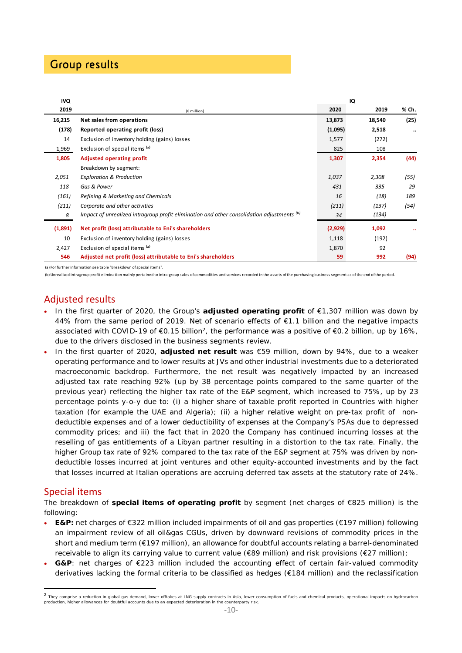# Group results

| <b>IVQ</b> |                                                                                            |         | IQ     |       |
|------------|--------------------------------------------------------------------------------------------|---------|--------|-------|
| 2019       | (€ million)                                                                                | 2020    | 2019   | % Ch. |
| 16,215     | Net sales from operations                                                                  | 13,873  | 18,540 | (25)  |
| (178)      | Reported operating profit (loss)                                                           | (1,095) | 2,518  |       |
| 14         | Exclusion of inventory holding (gains) losses                                              | 1,577   | (272)  |       |
| 1,969      | Exclusion of special items (a)                                                             | 825     | 108    |       |
| 1,805      | <b>Adjusted operating profit</b>                                                           | 1,307   | 2,354  | (44)  |
|            | Breakdown by segment:                                                                      |         |        |       |
| 2,051      | <b>Exploration &amp; Production</b>                                                        | 1,037   | 2,308  | (55)  |
| 118        | Gas & Power                                                                                | 431     | 335    | 29    |
| (161)      | Refining & Marketing and Chemicals                                                         | 16      | (18)   | 189   |
| (211)      | Corporate and other activities                                                             | (211)   | (137)  | (54)  |
| 8          | Impact of unrealized intragroup profit elimination and other consolidation adjustments (b) | 34      | (134)  |       |
| (1,891)    | Net profit (loss) attributable to Eni's shareholders                                       | (2,929) | 1,092  |       |
| 10         | Exclusion of inventory holding (gains) losses                                              | 1,118   | (192)  |       |
| 2,427      | Exclusion of special items (a)                                                             | 1,870   | 92     |       |
| 546        | Adjusted net profit (loss) attributable to Eni's shareholders                              | 59      | 992    | (94)  |

(a) For further information see table "Breakdown of special items".

(b) Unrealized intragroup profit elimination mainly pertained to intra-group sales of commodities and services recorded in the assets of the purchasing business segment as of the end of the period.

### Adjusted results

- In the first quarter of 2020, the Group's **adjusted operating profit** of €1,307 million was down by 44% from the same period of 2019. Net of scenario effects of €1.1 billion and the negative impacts associated with COVID-19 of €0.15 billion<sup>2</sup>, the performance was a positive of €0.2 billion, up by 16%, due to the drivers disclosed in the business segments review.
- In the first quarter of 2020, **adjusted net result** was €59 million, down by 94%, due to a weaker operating performance and to lower results at JVs and other industrial investments due to a deteriorated macroeconomic backdrop. Furthermore, the net result was negatively impacted by an increased adjusted tax rate reaching 92% (up by 38 percentage points compared to the same quarter of the previous year) reflecting the higher tax rate of the E&P segment, which increased to 75%, up by 23 percentage points y-o-y due to: (i) a higher share of taxable profit reported in Countries with higher taxation (for example the UAE and Algeria); (ii) a higher relative weight on pre-tax profit of nondeductible expenses and of a lower deductibility of expenses at the Company's PSAs due to depressed commodity prices; and iii) the fact that in 2020 the Company has continued incurring losses at the reselling of gas entitlements of a Libyan partner resulting in a distortion to the tax rate. Finally, the higher Group tax rate of 92% compared to the tax rate of the E&P segment at 75% was driven by nondeductible losses incurred at joint ventures and other equity-accounted investments and by the fact that losses incurred at Italian operations are accruing deferred tax assets at the statutory rate of 24%.

### Special items

The breakdown of **special items of operating profit** by segment (net charges of €825 million) is the following:

- **E&P:** net charges of €322 million included impairments of oil and gas properties (€197 million) following an impairment review of all oil&gas CGUs, driven by downward revisions of commodity prices in the short and medium term (€197 million), an allowance for doubtful accounts relating a barrel-denominated receivable to align its carrying value to current value (€89 million) and risk provisions (€27 million);
- **G&P**: net charges of €223 million included the accounting effect of certain fair-valued commodity derivatives lacking the formal criteria to be classified as hedges (€184 million) and the reclassification

<sup>&</sup>lt;sup>2</sup> They comprise a reduction in global gas demand, lower offtakes at LNG supply contracts in Asia, lower consumption of fuels and chemical products, operational impacts on hydrocarbon production, higher allowances for doubtful accounts due to an expected deterioration in the counterparty risk.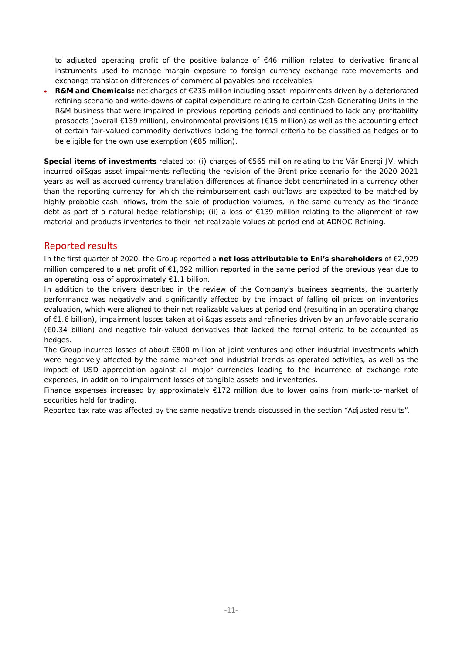to adjusted operating profit of the positive balance of €46 million related to derivative financial instruments used to manage margin exposure to foreign currency exchange rate movements and exchange translation differences of commercial payables and receivables;

 **R&M and Chemicals:** net charges of €235 million including asset impairments driven by a deteriorated refining scenario and write-downs of capital expenditure relating to certain Cash Generating Units in the R&M business that were impaired in previous reporting periods and continued to lack any profitability prospects (overall €139 million), environmental provisions (€15 million) as well as the accounting effect of certain fair-valued commodity derivatives lacking the formal criteria to be classified as hedges or to be eligible for the own use exemption (€85 million).

**Special items of investments** related to: (i) charges of €565 million relating to the Vår Energi JV, which incurred oil&gas asset impairments reflecting the revision of the Brent price scenario for the 2020-2021 years as well as accrued currency translation differences at finance debt denominated in a currency other than the reporting currency for which the reimbursement cash outflows are expected to be matched by highly probable cash inflows, from the sale of production volumes, in the same currency as the finance debt as part of a natural hedge relationship; (ii) a loss of €139 million relating to the alignment of raw material and products inventories to their net realizable values at period end at ADNOC Refining.

### Reported results

In the first quarter of 2020, the Group reported a **net loss attributable to Eni's shareholders** of €2,929 million compared to a net profit of €1,092 million reported in the same period of the previous year due to an operating loss of approximately €1.1 billion.

In addition to the drivers described in the review of the Company's business segments, the quarterly performance was negatively and significantly affected by the impact of falling oil prices on inventories evaluation, which were aligned to their net realizable values at period end (resulting in an operating charge of €1.6 billion), impairment losses taken at oil&gas assets and refineries driven by an unfavorable scenario (€0.34 billion) and negative fair-valued derivatives that lacked the formal criteria to be accounted as hedges.

The Group incurred losses of about €800 million at joint ventures and other industrial investments which were negatively affected by the same market and industrial trends as operated activities, as well as the impact of USD appreciation against all major currencies leading to the incurrence of exchange rate expenses, in addition to impairment losses of tangible assets and inventories.

Finance expenses increased by approximately €172 million due to lower gains from mark-to-market of securities held for trading.

Reported tax rate was affected by the same negative trends discussed in the section "Adjusted results".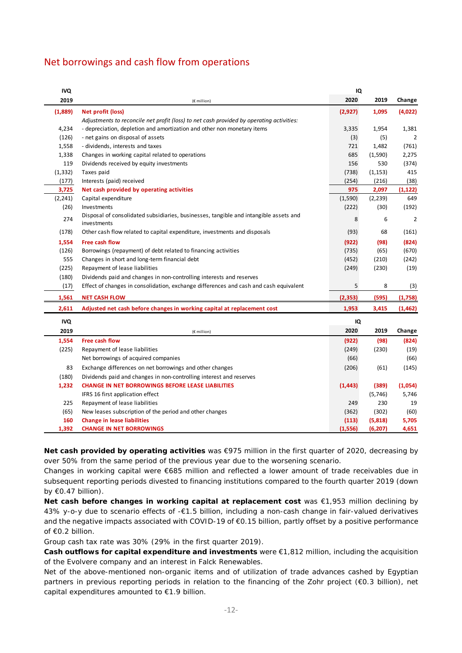## Net borrowings and cash flow from operations

| IVQ        |                                                                                                      | IQ       |          |          |
|------------|------------------------------------------------------------------------------------------------------|----------|----------|----------|
| 2019       | (€ million)                                                                                          | 2020     | 2019     | Change   |
| (1,889)    | Net profit (loss)                                                                                    | (2,927)  | 1,095    | (4,022)  |
|            | Adjustments to reconcile net profit (loss) to net cash provided by operating activities:             |          |          |          |
| 4,234      | - depreciation, depletion and amortization and other non monetary items                              | 3,335    | 1,954    | 1,381    |
| (126)      | - net gains on disposal of assets                                                                    | (3)      | (5)      | 2        |
| 1,558      | - dividends, interests and taxes                                                                     | 721      | 1,482    | (761)    |
| 1,338      | Changes in working capital related to operations                                                     | 685      | (1,590)  | 2,275    |
| 119        | Dividends received by equity investments                                                             | 156      | 530      | (374)    |
| (1, 332)   | Taxes paid                                                                                           | (738)    | (1, 153) | 415      |
| (177)      | Interests (paid) received                                                                            | (254)    | (216)    | (38)     |
| 3,725      | Net cash provided by operating activities                                                            | 975      | 2,097    | (1, 122) |
| (2, 241)   | Capital expenditure                                                                                  | (1,590)  | (2, 239) | 649      |
| (26)       | Investments                                                                                          | (222)    | (30)     | (192)    |
| 274        | Disposal of consolidated subsidiaries, businesses, tangible and intangible assets and<br>investments | 8        | 6        | 2        |
| (178)      | Other cash flow related to capital expenditure, investments and disposals                            | (93)     | 68       | (161)    |
| 1,554      | Free cash flow                                                                                       | (922)    | (98)     | (824)    |
| (126)      | Borrowings (repayment) of debt related to financing activities                                       | (735)    | (65)     | (670)    |
| 555        | Changes in short and long-term financial debt                                                        | (452)    | (210)    | (242)    |
| (225)      | Repayment of lease liabilities                                                                       | (249)    | (230)    | (19)     |
| (180)      | Dividends paid and changes in non-controlling interests and reserves                                 |          |          |          |
| (17)       | Effect of changes in consolidation, exchange differences and cash and cash equivalent                | 5        | 8        | (3)      |
| 1,561      | <b>NET CASH FLOW</b>                                                                                 | (2, 353) | (595)    | (1,758)  |
| 2,611      | Adjusted net cash before changes in working capital at replacement cost                              | 1,953    | 3,415    | (1, 462) |
| <b>IVQ</b> |                                                                                                      | IQ       |          |          |
| 2019       | (€ million)                                                                                          | 2020     | 2019     | Change   |
| 1,554      | <b>Free cash flow</b>                                                                                | (922)    | (98)     | (824)    |
| (225)      | Repayment of lease liabilities                                                                       | (249)    | (230)    | (19)     |
|            | Net borrowings of acquired companies                                                                 | (66)     |          | (66)     |
| 83         |                                                                                                      |          |          | (145)    |
|            | Exchange differences on net borrowings and other changes                                             | (206)    | (61)     |          |
| (180)      | Dividends paid and changes in non-controlling interest and reserves                                  |          |          |          |
| 1,232      | <b>CHANGE IN NET BORROWINGS BEFORE LEASE LIABILITIES</b>                                             | (1, 443) | (389)    | (1,054)  |
|            | IFRS 16 first application effect                                                                     |          | (5,746)  | 5,746    |
| 225        | Repayment of lease liabilities                                                                       | 249      | 230      | 19       |
| (65)       | New leases subscription of the period and other changes                                              | (362)    | (302)    | (60)     |
| 160        | <b>Change in lease liabilities</b>                                                                   | (113)    | (5,818)  | 5,705    |
| 1,392      | <b>CHANGE IN NET BORROWINGS</b>                                                                      | (1, 556) | (6, 207) | 4,651    |

**Net cash provided by operating activities** was €975 million in the first quarter of 2020, decreasing by over 50% from the same period of the previous year due to the worsening scenario.

Changes in working capital were €685 million and reflected a lower amount of trade receivables due in subsequent reporting periods divested to financing institutions compared to the fourth quarter 2019 (down by  $\epsilon$ 0.47 billion).

**Net cash before changes in working capital at replacement cost** was €1,953 million declining by 43% y-o-y due to scenario effects of -€1.5 billion, including a non-cash change in fair-valued derivatives and the negative impacts associated with COVID-19 of €0.15 billion, partly offset by a positive performance of €0.2 billion.

Group cash tax rate was 30% (29% in the first quarter 2019).

**Cash outflows for capital expenditure and investments** were €1,812 million, including the acquisition of the Evolvere company and an interest in Falck Renewables.

Net of the above-mentioned non-organic items and of utilization of trade advances cashed by Egyptian partners in previous reporting periods in relation to the financing of the Zohr project (€0.3 billion), net capital expenditures amounted to €1.9 billion.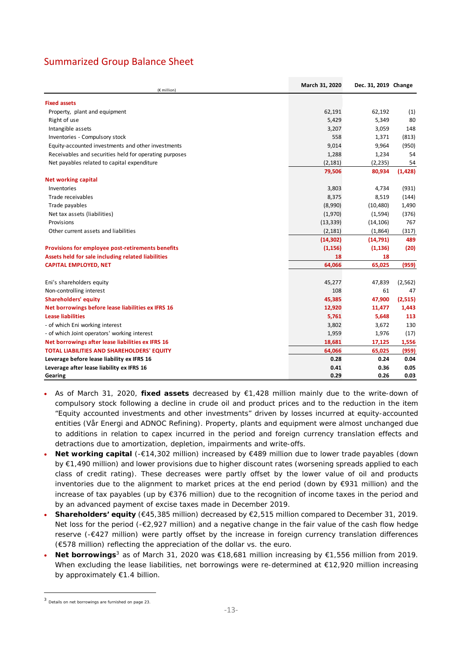## Summarized Group Balance Sheet

| (€ million)                                              | March 31, 2020 | Dec. 31, 2019 Change |          |
|----------------------------------------------------------|----------------|----------------------|----------|
| <b>Fixed assets</b>                                      |                |                      |          |
| Property, plant and equipment                            | 62,191         | 62,192               | (1)      |
| Right of use                                             | 5,429          | 5,349                | 80       |
| Intangible assets                                        | 3,207          | 3,059                | 148      |
| Inventories - Compulsory stock                           | 558            | 1,371                | (813)    |
| Equity-accounted investments and other investments       | 9,014          | 9,964                | (950)    |
| Receivables and securities held for operating purposes   | 1,288          | 1,234                | 54       |
| Net payables related to capital expenditure              | (2, 181)       | (2, 235)             | 54       |
|                                                          | 79,506         | 80,934               | (1, 428) |
| <b>Net working capital</b>                               |                |                      |          |
| Inventories                                              | 3,803          | 4,734                | (931)    |
| Trade receivables                                        | 8,375          | 8,519                | (144)    |
| Trade payables                                           | (8,990)        | (10, 480)            | 1,490    |
| Net tax assets (liabilities)                             | (1,970)        | (1,594)              | (376)    |
| Provisions                                               | (13, 339)      | (14, 106)            | 767      |
| Other current assets and liabilities                     | (2, 181)       | (1,864)              | (317)    |
|                                                          | (14, 302)      | (14,791)             | 489      |
| <b>Provisions for employee post-retirements benefits</b> | (1, 156)       | (1, 136)             | (20)     |
| Assets held for sale including related liabilities       | 18             | 18                   |          |
| <b>CAPITAL EMPLOYED, NET</b>                             | 64,066         | 65,025               | (959)    |
| Eni's shareholders equity                                | 45,277         | 47,839               | (2, 562) |
| Non-controlling interest                                 | 108            | 61                   | 47       |
| <b>Shareholders' equity</b>                              | 45,385         | 47,900               | (2,515)  |
| Net borrowings before lease liabilities ex IFRS 16       | 12,920         | 11,477               | 1,443    |
| <b>Lease liabilities</b>                                 | 5,761          | 5,648                | 113      |
| - of which Eni working interest                          | 3,802          | 3,672                | 130      |
| - of which Joint operators' working interest             | 1,959          | 1,976                | (17)     |
| Net borrowings after lease liabilities ex IFRS 16        | 18,681         | 17,125               | 1,556    |
| TOTAL LIABILITIES AND SHAREHOLDERS' EQUITY               | 64,066         | 65,025               | (959)    |
| Leverage before lease liability ex IFRS 16               | 0.28           | 0.24                 | 0.04     |
| Leverage after lease liability ex IFRS 16                | 0.41           | 0.36                 | 0.05     |
| Gearing                                                  | 0.29           | 0.26                 | 0.03     |

- As of March 31, 2020, **fixed assets** decreased by €1,428 million mainly due to the write-down of compulsory stock following a decline in crude oil and product prices and to the reduction in the item "Equity accounted investments and other investments" driven by losses incurred at equity-accounted entities (Vår Energi and ADNOC Refining). Property, plants and equipment were almost unchanged due to additions in relation to capex incurred in the period and foreign currency translation effects and detractions due to amortization, depletion, impairments and write-offs.
- **Net working capital** (-€14,302 million) increased by €489 million due to lower trade payables (down by €1,490 million) and lower provisions due to higher discount rates (worsening spreads applied to each class of credit rating). These decreases were partly offset by the lower value of oil and products inventories due to the alignment to market prices at the end period (down by €931 million) and the increase of tax payables (up by €376 million) due to the recognition of income taxes in the period and by an advanced payment of excise taxes made in December 2019.
- **Shareholders' equity** (€45,385 million) decreased by €2,515 million compared to December 31, 2019. Net loss for the period (- $\epsilon$ 2,927 million) and a negative change in the fair value of the cash flow hedge reserve (-€427 million) were partly offset by the increase in foreign currency translation differences (€578 million) reflecting the appreciation of the dollar vs. the euro.
- **Net borrowings**<sup>3</sup> as of March 31, 2020 was €18,681 million increasing by €1,556 million from 2019. When excluding the lease liabilities, net borrowings were re-determined at €12,920 million increasing by approximately €1.4 billion.

 <sup>3</sup> Details on net borrowings are furnished on page 23.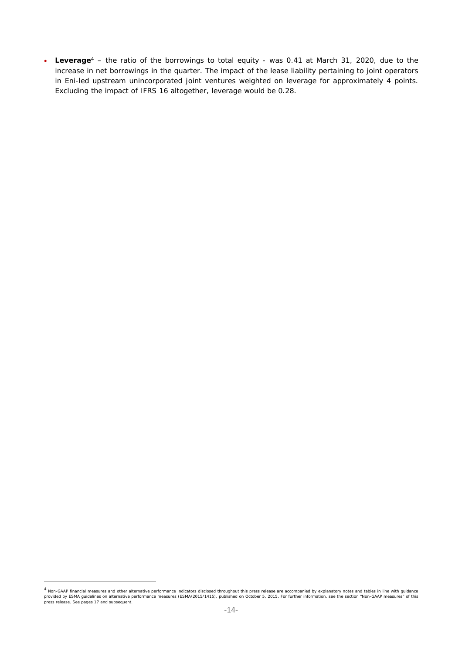**Leverage**4 – the ratio of the borrowings to total equity - was 0.41 at March 31, 2020, due to the increase in net borrowings in the quarter. The impact of the lease liability pertaining to joint operators in Eni-led upstream unincorporated joint ventures weighted on leverage for approximately 4 points. Excluding the impact of IFRS 16 altogether, leverage would be 0.28.

<sup>4</sup> Non-GAAP financial measures and other alternative performance indicators disclosed throughout this press release are accompanied by explanatory notes and tables in line with guidance provided by ESMA guidelines on alternative performance measures (ESMA/2015/1415), published on October 5, 2015. For further information, see the section "Non-GAAP measures" of this press release. See pages 17 and subsequent.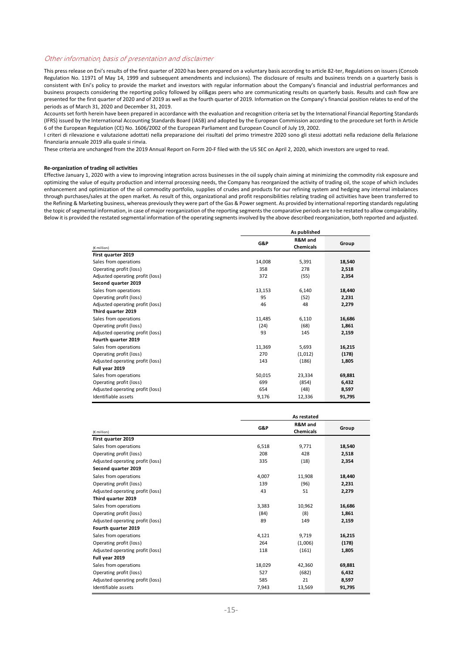#### Other information, basis of presentation and disclaimer

This press release on Eni's results of the first quarter of 2020 has been prepared on a voluntary basis according to article 82‐ter, Regulations on issuers (Consob Regulation No. 11971 of May 14, 1999 and subsequent amendments and inclusions). The disclosure of results and business trends on a quarterly basis is consistent with Eni's policy to provide the market and investors with regular information about the Company's financial and industrial performances and business prospects considering the reporting policy followed by oil&gas peers who are communicating results on quarterly basis. Results and cash flow are presented for the first quarter of 2020 and of 2019 as well as the fourth quarter of 2019. Information on the Company's financial position relates to end of the periods as of March 31, 2020 and December 31, 2019.

Accounts set forth herein have been prepared in accordance with the evaluation and recognition criteria set by the International Financial Reporting Standards (IFRS) issued by the International Accounting Standards Board (IASB) and adopted by the European Commission according to the procedure set forth in Article 6 of the European Regulation (CE) No. 1606/2002 of the European Parliament and European Council of July 19, 2002.

I criteri di rilevazione e valutazione adottati nella preparazione dei risultati del primo trimestre 2020 sono gli stessi adottati nella redazione della Relazione finanziaria annuale 2019 alla quale si rinvia.

These criteria are unchanged from the 2019 Annual Report on Form 20‐F filed with the US SEC on April 2, 2020, which investors are urged to read.

#### **Re‐organization of trading oil activities**

Effective January 1, 2020 with a view to improving integration across businesses in the oil supply chain aiming at minimizing the commodity risk exposure and optimizing the value of equity production and internal processing needs, the Company has reorganized the activity of trading oil, the scope of which includes enhancement and optimization of the oil commodity portfolio, supplies of crudes and products for our refining system and hedging any internal imbalances through purchases/sales at the open market. As result of this, organizational and profit responsibilities relating trading oil activities have been transferred to the Refining & Marketing business, whereas previously they were part of the Gas & Power segment. As provided by international reporting standards regulating the topic of segmental information, in case of major reorganization of the reporting segments the comparative periods are to be restated to allow comparability. Below it is provided the restated segmental information of the operating segments involved by the above described reorganization, both reported and adjusted.

**As published**

|                                  | As published |                      |        |
|----------------------------------|--------------|----------------------|--------|
| (€ million)                      | G&P          | R&M and<br>Chemicals | Group  |
| First quarter 2019               |              |                      |        |
| Sales from operations            | 14,008       | 5,391                | 18,540 |
| Operating profit (loss)          | 358          | 278                  | 2,518  |
| Adjusted operating profit (loss) | 372          | (55)                 | 2,354  |
| Second quarter 2019              |              |                      |        |
| Sales from operations            | 13,153       | 6,140                | 18,440 |
| Operating profit (loss)          | 95           | (52)                 | 2,231  |
| Adjusted operating profit (loss) | 46           | 48                   | 2,279  |
| Third quarter 2019               |              |                      |        |
| Sales from operations            | 11,485       | 6,110                | 16,686 |
| Operating profit (loss)          | (24)         | (68)                 | 1,861  |
| Adjusted operating profit (loss) | 93           | 145                  | 2,159  |
| Fourth quarter 2019              |              |                      |        |
| Sales from operations            | 11,369       | 5,693                | 16,215 |
| Operating profit (loss)          | 270          | (1,012)              | (178)  |
| Adjusted operating profit (loss) | 143          | (186)                | 1,805  |
| Full year 2019                   |              |                      |        |
| Sales from operations            | 50,015       | 23,334               | 69,881 |
| Operating profit (loss)          | 699          | (854)                | 6,432  |
| Adjusted operating profit (loss) | 654          | (48)                 | 8,597  |
| Identifiable assets              | 9,176        | 12,336               | 91,795 |
|                                  |              |                      |        |

|                                  | As restated |                             |        |
|----------------------------------|-------------|-----------------------------|--------|
| (€ million)                      | G&P         | R&M and<br><b>Chemicals</b> | Group  |
| First quarter 2019               |             |                             |        |
| Sales from operations            | 6,518       | 9,771                       | 18,540 |
| Operating profit (loss)          | 208         | 428                         | 2,518  |
| Adjusted operating profit (loss) | 335         | (18)                        | 2,354  |
| Second quarter 2019              |             |                             |        |
| Sales from operations            | 4.007       | 11,908                      | 18,440 |
| Operating profit (loss)          | 139         | (96)                        | 2,231  |
| Adjusted operating profit (loss) | 43          | 51                          | 2,279  |
| Third quarter 2019               |             |                             |        |
| Sales from operations            | 3,383       | 10,962                      | 16,686 |
| Operating profit (loss)          | (84)        | (8)                         | 1,861  |
| Adjusted operating profit (loss) | 89          | 149                         | 2,159  |
| Fourth quarter 2019              |             |                             |        |
| Sales from operations            | 4,121       | 9,719                       | 16,215 |
| Operating profit (loss)          | 264         | (1,006)                     | (178)  |
| Adjusted operating profit (loss) | 118         | (161)                       | 1,805  |
| Full year 2019                   |             |                             |        |
| Sales from operations            | 18,029      | 42,360                      | 69,881 |
| Operating profit (loss)          | 527         | (682)                       | 6,432  |
| Adjusted operating profit (loss) | 585         | 21                          | 8,597  |
| Identifiable assets              | 7,943       | 13,569                      | 91,795 |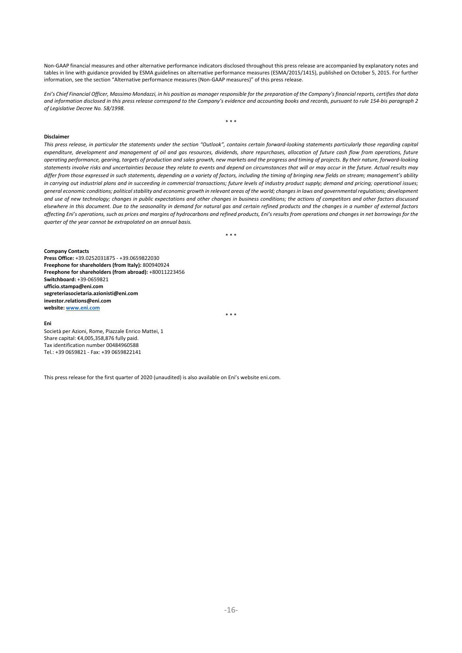Non-GAAP financial measures and other alternative performance indicators disclosed throughout this press release are accompanied by explanatory notes and tables in line with guidance provided by ESMA guidelines on alternative performance measures (ESMA/2015/1415), published on October 5, 2015. For further information, see the section "Alternative performance measures (Non‐GAAP measures)" of this press release.

*Eni's Chief Financial Officer, Massimo Mondazzi, in his position as manager responsible for the preparation of the Company's financial reports, certifies that data and information disclosed in this press release correspond to the Company's evidence and accounting books and records, pursuant to rule 154‐bis paragraph 2 of Legislative Decree No. 58/1998.* 

\* \* \*

#### **Disclaimer**

*This press release, in particular the statements under the section "Outlook", contains certain forward‐looking statements particularly those regarding capital expenditure, development and management of oil and gas resources, dividends, share repurchases, allocation of future cash flow from operations, future operating performance, gearing, targets of production and sales growth, new markets and the progress and timing of projects. By their nature, forward‐looking statements involve risks and uncertainties because they relate to events and depend on circumstances that will or may occur in the future. Actual results may differ from those expressed in such statements, depending on a variety of factors, including the timing of bringing new fields on stream; management's ability in carrying out industrial plans and in succeeding in commercial transactions; future levels of industry product supply; demand and pricing; operational issues; general economic conditions; political stability and economic growth in relevant areas of the world; changes in laws and governmental regulations; development and use of new technology; changes in public expectations and other changes in business conditions; the actions of competitors and other factors discussed elsewhere in this document. Due to the seasonality in demand for natural gas and certain refined products and the changes in a number of external factors affecting Eni's operations, such as prices and margins of hydrocarbons and refined products, Eni's results from operations and changes in net borrowings for the quarter of the year cannot be extrapolated on an annual basis.* 

\* \* \*

**Company Contacts Press Office:** +39.0252031875 ‐ +39.0659822030 **Freephone for shareholders (from Italy):** 800940924 **Freephone for shareholders (from abroad):** +80011223456 **Switchboard:** +39‐0659821 **ufficio.stampa@eni.com segreteriasocietaria.azionisti@eni.com investor.relations@eni.com website: www.eni.com**

\* \* \*

**Eni**  Società per Azioni, Rome, Piazzale Enrico Mattei, 1 Share capital: €4,005,358,876 fully paid. Tax identification number 00484960588 Tel.: +39 0659821 ‐ Fax: +39 0659822141

This press release for the first quarter of 2020 (unaudited) is also available on Eni's website eni.com.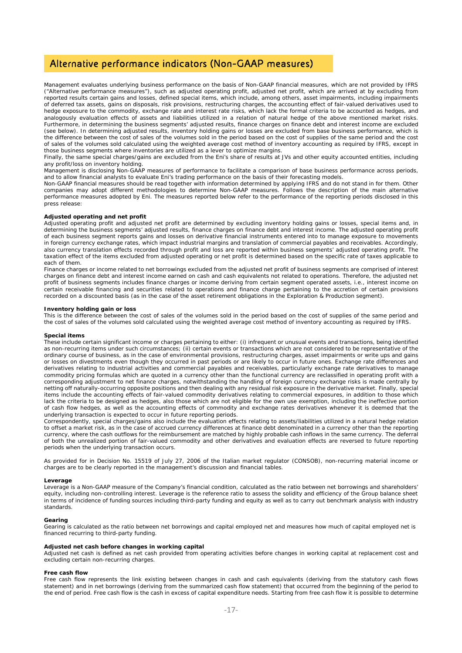### Alternative performance indicators (Non-GAAP measures)

Management evaluates underlying business performance on the basis of Non-GAAP financial measures, which are not provided by IFRS ("Alternative performance measures"), such as adjusted operating profit, adjusted net profit, which are arrived at by excluding from reported results certain gains and losses, defined special items, which include, among others, asset impairments, including impairments of deferred tax assets, gains on disposals, risk provisions, restructuring charges, the accounting effect of fair-valued derivatives used to hedge exposure to the commodity, exchange rate and interest rate risks, which lack the formal criteria to be accounted as hedges, and analogously evaluation effects of assets and liabilities utilized in a relation of natural hedge of the above mentioned market risks. Furthermore, in determining the business segments' adjusted results, finance charges on finance debt and interest income are excluded (see below). In determining adjusted results, inventory holding gains or losses are excluded from base business performance, which is the difference between the cost of sales of the volumes sold in the period based on the cost of supplies of the same period and the cost of sales of the volumes sold calculated using the weighted average cost method of inventory accounting as required by IFRS, except in those business segments where inventories are utilized as a lever to optimize margins.

Finally, the same special charges/gains are excluded from the Eni's share of results at JVs and other equity accounted entities, including any profit/loss on inventory holding.

Management is disclosing Non-GAAP measures of performance to facilitate a comparison of base business performance across periods, and to allow financial analysts to evaluate Eni's trading performance on the basis of their forecasting models.

Non-GAAP financial measures should be read together with information determined by applying IFRS and do not stand in for them. Other companies may adopt different methodologies to determine Non-GAAP measures. Follows the description of the main alternative performance measures adopted by Eni. The measures reported below refer to the performance of the reporting periods disclosed in this press release:

#### *Adjusted operating and net profit*

Adjusted operating profit and adjusted net profit are determined by excluding inventory holding gains or losses, special items and, in determining the business segments' adjusted results, finance charges on finance debt and interest income. The adjusted operating profit of each business segment reports gains and losses on derivative financial instruments entered into to manage exposure to movements in foreign currency exchange rates, which impact industrial margins and translation of commercial payables and receivables. Accordingly, also currency translation effects recorded through profit and loss are reported within business segments' adjusted operating profit. The taxation effect of the items excluded from adjusted operating or net profit is determined based on the specific rate of taxes applicable to each of them.

Finance charges or income related to net borrowings excluded from the adjusted net profit of business segments are comprised of interest charges on finance debt and interest income earned on cash and cash equivalents not related to operations. Therefore, the adjusted net profit of business segments includes finance charges or income deriving from certain segment operated assets, i.e., interest income on certain receivable financing and securities related to operations and finance charge pertaining to the accretion of certain provisions recorded on a discounted basis (as in the case of the asset retirement obligations in the Exploration & Production segment).

#### *Inventory holding gain or loss*

This is the difference between the cost of sales of the volumes sold in the period based on the cost of supplies of the same period and the cost of sales of the volumes sold calculated using the weighted average cost method of inventory accounting as required by IFRS.

#### *Special items*

These include certain significant income or charges pertaining to either: (i) infrequent or unusual events and transactions, being identified as non-recurring items under such circumstances; (ii) certain events or transactions which are not considered to be representative of the ordinary course of business, as in the case of environmental provisions, restructuring charges, asset impairments or write ups and gains or losses on divestments even though they occurred in past periods or are likely to occur in future ones. Exchange rate differences and derivatives relating to industrial activities and commercial payables and receivables, particularly exchange rate derivatives to manage commodity pricing formulas which are quoted in a currency other than the functional currency are reclassified in operating profit with a corresponding adjustment to net finance charges, notwithstanding the handling of foreign currency exchange risks is made centrally by netting off naturally-occurring opposite positions and then dealing with any residual risk exposure in the derivative market. Finally, special items include the accounting effects of fair-valued commodity derivatives relating to commercial exposures, in addition to those which lack the criteria to be designed as hedges, also those which are not eligible for the own use exemption, including the ineffective portion of cash flow hedges, as well as the accounting effects of commodity and exchange rates derivatives whenever it is deemed that the underlying transaction is expected to occur in future reporting periods.

Correspondently, special charges/gains also include the evaluation effects relating to assets/liabilities utilized in a natural hedge relation to offset a market risk, as in the case of accrued currency differences at finance debt denominated in a currency other than the reporting currency, where the cash outflows for the reimbursement are matched by highly probable cash inflows in the same currency. The deferral of both the unrealized portion of fair-valued commodity and other derivatives and evaluation effects are reversed to future reporting periods when the underlying transaction occurs.

As provided for in Decision No. 15519 of July 27, 2006 of the Italian market regulator (CONSOB), non-recurring material income or charges are to be clearly reported in the management's discussion and financial tables.

#### *Leverage*

Leverage is a Non-GAAP measure of the Company's financial condition, calculated as the ratio between net borrowings and shareholders' equity, including non-controlling interest. Leverage is the reference ratio to assess the solidity and efficiency of the Group balance sheet in terms of incidence of funding sources including third-party funding and equity as well as to carry out benchmark analysis with industry standards.

#### *Gearing*

Gearing is calculated as the ratio between net borrowings and capital employed net and measures how much of capital employed net is financed recurring to third-party funding.

#### *Adjusted net cash before changes in working capital*

Adjusted net cash is defined as net cash provided from operating activities before changes in working capital at replacement cost and excluding certain non-recurring charges.

#### *Free cash flow*

Free cash flow represents the link existing between changes in cash and cash equivalents (deriving from the statutory cash flows statement) and in net borrowings (deriving from the summarized cash flow statement) that occurred from the beginning of the period to the end of period. Free cash flow is the cash in excess of capital expenditure needs. Starting from free cash flow it is possible to determine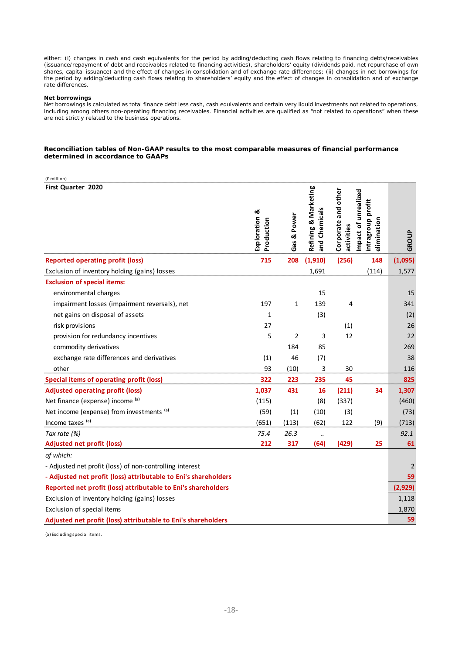either: (i) changes in cash and cash equivalents for the period by adding/deducting cash flows relating to financing debts/receivables (issuance/repayment of debt and receivables related to financing activities), shareholders' equity (dividends paid, net repurchase of own shares, capital issuance) and the effect of changes in consolidation and of exchange rate differences; (ii) changes in net borrowings for the period by adding/deducting cash flows relating to shareholders' equity and the effect of changes in consolidation and of exchange rate differences.

#### *Net borrowings*

Net borrowings is calculated as total finance debt less cash, cash equivalents and certain very liquid investments not related to operations, including among others non-operating financing receivables. Financial activities are qualified as "not related to operations" when these are not strictly related to the business operations.

#### **Reconciliation tables of Non-GAAP results to the most comparable measures of financial performance determined in accordance to GAAPs**

| (€ million)                                                     |                             |                |                                       |                                   |                                                          |         |
|-----------------------------------------------------------------|-----------------------------|----------------|---------------------------------------|-----------------------------------|----------------------------------------------------------|---------|
| First Quarter 2020                                              | Exploration &<br>Production | Gas & Power    | Refining & Marketing<br>and Chemicals | Corporate and other<br>activities | Impact of unrealized<br>intragroup profit<br>elimination | GROUP   |
| <b>Reported operating profit (loss)</b>                         | 715                         | 208            | (1,910)                               | (256)                             | 148                                                      | (1,095) |
| Exclusion of inventory holding (gains) losses                   |                             |                | 1,691                                 |                                   | (114)                                                    | 1,577   |
| <b>Exclusion of special items:</b>                              |                             |                |                                       |                                   |                                                          |         |
| environmental charges                                           |                             |                | 15                                    |                                   |                                                          | 15      |
| impairment losses (impairment reversals), net                   | 197                         | 1              | 139                                   | 4                                 |                                                          | 341     |
| net gains on disposal of assets                                 | $\mathbf{1}$                |                | (3)                                   |                                   |                                                          | (2)     |
| risk provisions                                                 | 27                          |                |                                       | (1)                               |                                                          | 26      |
| provision for redundancy incentives                             | 5                           | $\overline{2}$ | 3                                     | 12                                |                                                          | 22      |
| commodity derivatives                                           |                             | 184            | 85                                    |                                   |                                                          | 269     |
| exchange rate differences and derivatives                       | (1)                         | 46             | (7)                                   |                                   |                                                          | 38      |
| other                                                           | 93                          | (10)           | 3                                     | 30                                |                                                          | 116     |
| <b>Special items of operating profit (loss)</b>                 | 322                         | 223            | 235                                   | 45                                |                                                          | 825     |
| <b>Adjusted operating profit (loss)</b>                         | 1,037                       | 431            | 16                                    | (211)                             | 34                                                       | 1,307   |
| Net finance (expense) income (a)                                | (115)                       |                | (8)                                   | (337)                             |                                                          | (460)   |
| Net income (expense) from investments (a)                       | (59)                        | (1)            | (10)                                  | (3)                               |                                                          | (73)    |
| Income taxes (a)                                                | (651)                       | (113)          | (62)                                  | 122                               | (9)                                                      | (713)   |
| Tax rate (%)                                                    | 75.4                        | 26.3           | $\ddot{\phantom{a}}$                  |                                   |                                                          | 92.1    |
| <b>Adjusted net profit (loss)</b>                               | 212                         | 317            | (64)                                  | (429)                             | 25                                                       | 61      |
| of which:                                                       |                             |                |                                       |                                   |                                                          |         |
| - Adjusted net profit (loss) of non-controlling interest        |                             |                |                                       |                                   |                                                          | 2       |
| - Adjusted net profit (loss) attributable to Eni's shareholders |                             |                |                                       |                                   |                                                          | 59      |
| Reported net profit (loss) attributable to Eni's shareholders   |                             |                |                                       |                                   |                                                          | (2,929) |
| Exclusion of inventory holding (gains) losses                   |                             |                |                                       |                                   |                                                          | 1,118   |
| Exclusion of special items                                      |                             |                |                                       |                                   |                                                          | 1,870   |
| Adjusted net profit (loss) attributable to Eni's shareholders   |                             |                |                                       |                                   |                                                          | 59      |

(a) Excluding special items.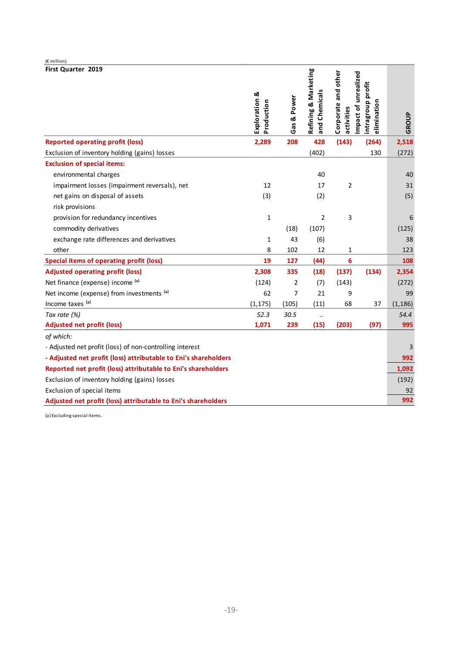| (€ million)                                                     |                             |             |                                       |                                   |                                                          |          |
|-----------------------------------------------------------------|-----------------------------|-------------|---------------------------------------|-----------------------------------|----------------------------------------------------------|----------|
| First Quarter 2019                                              | Exploration &<br>Production | Gas & Power | Refining & Marketing<br>and Chemicals | Corporate and other<br>activities | Impact of unrealized<br>intragroup profit<br>elimination | GROUP    |
| <b>Reported operating profit (loss)</b>                         | 2,289                       | 208         | 428                                   | (143)                             | (264)                                                    | 2,518    |
| Exclusion of inventory holding (gains) losses                   |                             |             | (402)                                 |                                   | 130                                                      | (272)    |
| <b>Exclusion of special items:</b>                              |                             |             |                                       |                                   |                                                          |          |
| environmental charges                                           |                             |             | 40                                    |                                   |                                                          | 40       |
| impairment losses (impairment reversals), net                   | 12                          |             | 17                                    | $\overline{2}$                    |                                                          | 31       |
| net gains on disposal of assets                                 | (3)                         |             | (2)                                   |                                   |                                                          | (5)      |
| risk provisions                                                 |                             |             |                                       |                                   |                                                          |          |
| provision for redundancy incentives                             | $\mathbf{1}$                |             | $\overline{2}$                        | 3                                 |                                                          | 6        |
| commodity derivatives                                           |                             | (18)        | (107)                                 |                                   |                                                          | (125)    |
| exchange rate differences and derivatives                       | 1                           | 43          | (6)                                   |                                   |                                                          | 38       |
| other                                                           | 8                           | 102         | 12                                    | 1                                 |                                                          | 123      |
| <b>Special items of operating profit (loss)</b>                 | 19                          | 127         | (44)                                  | 6                                 |                                                          | 108      |
| <b>Adjusted operating profit (loss)</b>                         | 2,308                       | 335         | (18)                                  | (137)                             | (134)                                                    | 2,354    |
| Net finance (expense) income (a)                                | (124)                       | 2           | (7)                                   | (143)                             |                                                          | (272)    |
| Net income (expense) from investments (a)                       | 62                          | 7           | 21                                    | 9                                 |                                                          | 99       |
| Income taxes (a)                                                | (1, 175)                    | (105)       | (11)                                  | 68                                | 37                                                       | (1, 186) |
| Tax rate (%)                                                    | 52.3                        | 30.5        |                                       |                                   |                                                          | 54.4     |
| <b>Adjusted net profit (loss)</b>                               | 1,071                       | 239         | (15)                                  | (203)                             | (97)                                                     | 995      |
| of which:                                                       |                             |             |                                       |                                   |                                                          |          |
| - Adjusted net profit (loss) of non-controlling interest        |                             |             |                                       |                                   |                                                          | 3        |
| - Adjusted net profit (loss) attributable to Eni's shareholders |                             |             |                                       | 992                               |                                                          |          |
| Reported net profit (loss) attributable to Eni's shareholders   |                             |             |                                       |                                   |                                                          | 1,092    |
| Exclusion of inventory holding (gains) losses                   |                             |             |                                       |                                   |                                                          | (192)    |
| Exclusion of special items                                      |                             |             |                                       |                                   |                                                          | 92       |
| Adjusted net profit (loss) attributable to Eni's shareholders   |                             |             |                                       |                                   |                                                          | 992      |

(a) Excluding special items.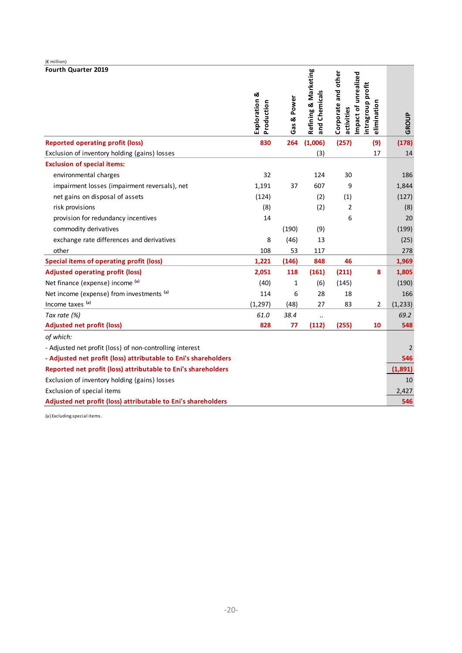| (€ million)                                                     |                             |              |                                       |                                                           |                                  |                |
|-----------------------------------------------------------------|-----------------------------|--------------|---------------------------------------|-----------------------------------------------------------|----------------------------------|----------------|
| Fourth Quarter 2019                                             | Exploration &<br>Production | Gas & Power  | Refining & Marketing<br>and Chemicals | Corporate and other<br>Impact of unrealized<br>activities | intragroup profit<br>elimination | GROUP          |
| <b>Reported operating profit (loss)</b>                         | 830                         | 264          | (1,006)                               | (257)                                                     | (9)                              | (178)          |
| Exclusion of inventory holding (gains) losses                   |                             |              | (3)                                   |                                                           | 17                               | 14             |
| <b>Exclusion of special items:</b>                              |                             |              |                                       |                                                           |                                  |                |
| environmental charges                                           | 32                          |              | 124                                   | 30                                                        |                                  | 186            |
| impairment losses (impairment reversals), net                   | 1,191                       | 37           | 607                                   | 9                                                         |                                  | 1,844          |
| net gains on disposal of assets                                 | (124)                       |              | (2)                                   | (1)                                                       |                                  | (127)          |
| risk provisions                                                 | (8)                         |              | (2)                                   | $\overline{2}$                                            |                                  | (8)            |
| provision for redundancy incentives                             | 14                          |              |                                       | 6                                                         |                                  | 20             |
| commodity derivatives                                           |                             | (190)        | (9)                                   |                                                           |                                  | (199)          |
| exchange rate differences and derivatives                       | 8                           | (46)         | 13                                    |                                                           |                                  | (25)           |
| other                                                           | 108                         | 53           | 117                                   |                                                           |                                  | 278            |
| <b>Special items of operating profit (loss)</b>                 | 1,221                       | (146)        | 848                                   | 46                                                        |                                  | 1,969          |
| <b>Adjusted operating profit (loss)</b>                         | 2,051                       | 118          | (161)                                 | (211)                                                     | 8                                | 1,805          |
| Net finance (expense) income (a)                                | (40)                        | $\mathbf{1}$ | (6)                                   | (145)                                                     |                                  | (190)          |
| Net income (expense) from investments (a)                       | 114                         | 6            | 28                                    | 18                                                        |                                  | 166            |
| Income taxes (a)                                                | (1, 297)                    | (48)         | 27                                    | 83                                                        | 2                                | (1,233)        |
| Tax rate (%)                                                    | 61.0                        | 38.4         | $\ddot{\phantom{0}}$                  |                                                           |                                  | 69.2           |
| <b>Adjusted net profit (loss)</b>                               | 828                         | 77           | (112)                                 | (255)                                                     | 10                               | 548            |
| of which:                                                       |                             |              |                                       |                                                           |                                  |                |
| - Adjusted net profit (loss) of non-controlling interest        |                             |              |                                       |                                                           |                                  | $\overline{2}$ |
| - Adjusted net profit (loss) attributable to Eni's shareholders |                             |              |                                       |                                                           |                                  | 546            |
| Reported net profit (loss) attributable to Eni's shareholders   |                             |              |                                       |                                                           |                                  | (1,891)        |
| Exclusion of inventory holding (gains) losses                   |                             |              |                                       |                                                           |                                  | 10             |
| Exclusion of special items                                      |                             |              |                                       |                                                           |                                  | 2,427          |
| Adjusted net profit (loss) attributable to Eni's shareholders   |                             |              |                                       |                                                           |                                  | 546            |

(a) Excluding special items.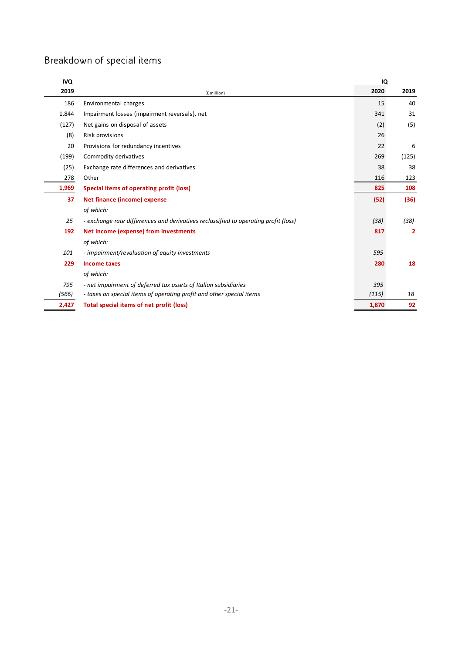# Breakdown of special items

| <b>IVQ</b> |                                                                                     | IQ    |       |
|------------|-------------------------------------------------------------------------------------|-------|-------|
| 2019       | (€ million)                                                                         | 2020  | 2019  |
| 186        | Environmental charges                                                               | 15    | 40    |
| 1,844      | Impairment losses (impairment reversals), net                                       | 341   | 31    |
| (127)      | Net gains on disposal of assets                                                     | (2)   | (5)   |
| (8)        | Risk provisions                                                                     | 26    |       |
| 20         | Provisions for redundancy incentives                                                | 22    | 6     |
| (199)      | Commodity derivatives                                                               | 269   | (125) |
| (25)       | Exchange rate differences and derivatives                                           | 38    | 38    |
| 278        | Other                                                                               | 116   | 123   |
| 1,969      | Special items of operating profit (loss)                                            | 825   | 108   |
| 37         | Net finance (income) expense                                                        | (52)  | (36)  |
|            | of which:                                                                           |       |       |
| 25         | - exchange rate differences and derivatives reclassified to operating profit (loss) | (38)  | (38)  |
| 192        | Net income (expense) from investments                                               | 817   | 2     |
|            | of which:                                                                           |       |       |
| 101        | - impairment/revaluation of equity investments                                      | 595   |       |
| 229        | <b>Income taxes</b>                                                                 | 280   | 18    |
|            | of which:                                                                           |       |       |
| 795        | - net impairment of deferred tax assets of Italian subsidiaries                     | 395   |       |
| (566)      | - taxes on special items of operating profit and other special items                | (115) | 18    |
| 2,427      | Total special items of net profit (loss)                                            | 1,870 | 92    |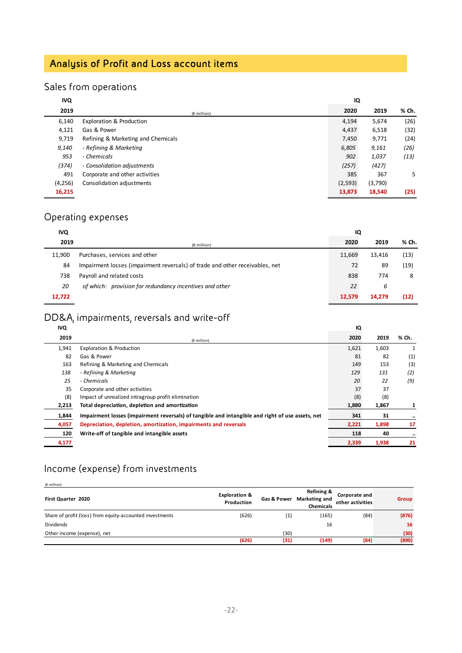# Analysis of Profit and Loss account items

# Sales from operations

| <b>IVQ</b> |                                     | IQ      |         |       |
|------------|-------------------------------------|---------|---------|-------|
| 2019       | $(E$ million)                       | 2020    | 2019    | % Ch. |
| 6,140      | <b>Exploration &amp; Production</b> | 4,194   | 5,674   | (26)  |
| 4,121      | Gas & Power                         | 4,437   | 6,518   | (32)  |
| 9,719      | Refining & Marketing and Chemicals  | 7,450   | 9,771   | (24)  |
| 9,140      | - Refining & Marketing              | 6,805   | 9,161   | (26)  |
| 953        | - Chemicals                         | 902     | 1,037   | (13)  |
| (374)      | - Consolidation adjustments         | (257)   | (427)   |       |
| 491        | Corporate and other activities      | 385     | 367     | 5.    |
| (4, 256)   | Consolidation adjustments           | (2,593) | (3,790) |       |
| 16,215     |                                     | 13,873  | 18,540  | (25)  |

## Operating expenses

| <b>IVQ</b> |                                                                              | IQ     |        |       |
|------------|------------------------------------------------------------------------------|--------|--------|-------|
| 2019       | $(E$ million)                                                                | 2020   | 2019   | % Ch. |
| 11.900     | Purchases, services and other                                                | 11,669 | 13,416 | (13)  |
| 84         | Impairment losses (impairment reversals) of trade and other receivables, net | 72     | 89     | (19)  |
| 738        | Payroll and related costs                                                    | 838    | 774    | 8     |
| 20         | of which: provision for redundancy incentives and other                      | 22     | 6      |       |
| 12,722     |                                                                              | 12,579 | 14.279 | (12)  |

## DD&A, impairments, reversals and write-off

| <b>IVQ</b> |                                                                                                  | IQ    |       |         |
|------------|--------------------------------------------------------------------------------------------------|-------|-------|---------|
| 2019       | $(E$ million)                                                                                    | 2020  | 2019  | % Ch.   |
| 1,941      | <b>Exploration &amp; Production</b>                                                              | 1,621 | 1,603 |         |
| 82         | Gas & Power                                                                                      | 81    | 82    | (1)     |
| 163        | Refining & Marketing and Chemicals                                                               | 149   | 153   | (3)     |
| 138        | - Refining & Marketing                                                                           | 129   | 131   | (2)     |
| 25         | - Chemicals                                                                                      | 20    | 22    | (9)     |
| 35         | Corporate and other activities                                                                   | 37    | 37    |         |
| (8)        | Impact of unrealized intragroup profit elimination                                               | (8)   | (8)   |         |
| 2,213      | Total depreciation, depletion and amortization                                                   | 1,880 | 1,867 | 1       |
| 1,844      | Impairment losses (impairment reversals) of tangible and intangible and right of use assets, net | 341   | 31    |         |
| 4,057      | Depreciation, depletion, amortization, impairments and reversals                                 | 2,221 | 1,898 | 17      |
| 120        | Write-off of tangible and intangible assets                                                      | 118   | 40    | $\cdot$ |
| 4,177      |                                                                                                  | 2,339 | 1,938 | 21      |
|            |                                                                                                  |       |       |         |

## Income (expense) from investments

| $(E \text{ million})$                                    |                                        |                                                                                                                       |       |       |       |
|----------------------------------------------------------|----------------------------------------|-----------------------------------------------------------------------------------------------------------------------|-------|-------|-------|
| First Quarter 2020                                       | <b>Exploration &amp;</b><br>Production | Refining &<br>Corporate and<br><b>Gas &amp; Power</b><br><b>Marketing and</b><br>other activities<br><b>Chemicals</b> |       | Group |       |
| Share of profit (loss) from equity-accounted investments | (626)                                  | (1)                                                                                                                   | (165) | (84)  | (876) |
| <b>Dividends</b>                                         |                                        |                                                                                                                       | 16    |       | 16    |
| Other income (expense), net                              |                                        | (30)                                                                                                                  |       |       | (30)  |
|                                                          | (626)                                  | (31)                                                                                                                  | (149) | (84)  | (890) |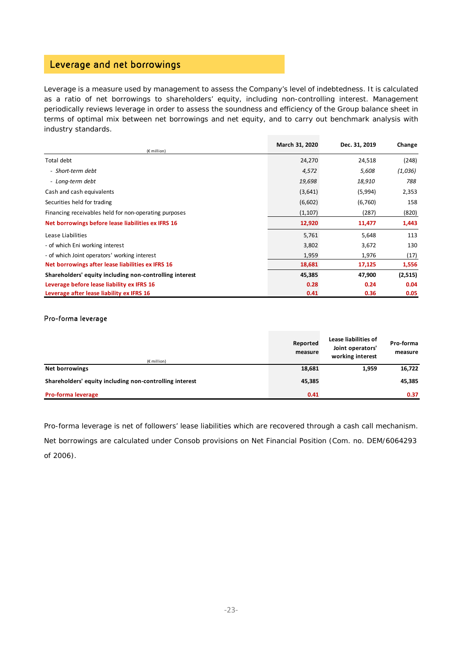## Leverage and net borrowings

Leverage is a measure used by management to assess the Company's level of indebtedness. It is calculated as a ratio of net borrowings to shareholders' equity, including non-controlling interest. Management periodically reviews leverage in order to assess the soundness and efficiency of the Group balance sheet in terms of optimal mix between net borrowings and net equity, and to carry out benchmark analysis with industry standards.

|                                                         | March 31, 2020 | Dec. 31, 2019 | Change  |
|---------------------------------------------------------|----------------|---------------|---------|
| (€ million)                                             |                |               |         |
| Total debt                                              | 24,270         | 24,518        | (248)   |
| - Short-term debt                                       | 4,572          | 5,608         | (1,036) |
| - Long-term debt                                        | 19,698         | 18,910        | 788     |
| Cash and cash equivalents                               | (3,641)        | (5,994)       | 2,353   |
| Securities held for trading                             | (6,602)        | (6,760)       | 158     |
| Financing receivables held for non-operating purposes   | (1,107)        | (287)         | (820)   |
| Net borrowings before lease liabilities ex IFRS 16      | 12,920         | 11,477        | 1,443   |
| Lease Liabilities                                       | 5,761          | 5,648         | 113     |
| - of which Eni working interest                         | 3,802          | 3,672         | 130     |
| - of which Joint operators' working interest            | 1,959          | 1,976         | (17)    |
| Net borrowings after lease liabilities ex IFRS 16       | 18,681         | 17,125        | 1,556   |
| Shareholders' equity including non-controlling interest | 45,385         | 47,900        | (2,515) |
| Leverage before lease liability ex IFRS 16              | 0.28           | 0.24          | 0.04    |
| Leverage after lease liability ex IFRS 16               | 0.41           | 0.36          | 0.05    |

#### Pro-forma leverage

| $(E$ million)                                           | Reported<br>measure | Lease liabilities of<br>Joint operators'<br>working interest | Pro-forma<br>measure |
|---------------------------------------------------------|---------------------|--------------------------------------------------------------|----------------------|
| <b>Net borrowings</b>                                   | 18,681              | 1,959                                                        | 16,722               |
| Shareholders' equity including non-controlling interest | 45,385              |                                                              | 45,385               |
| <b>Pro-forma leverage</b>                               | 0.41                |                                                              | 0.37                 |

Pro-forma leverage is net of followers' lease liabilities which are recovered through a cash call mechanism. Net borrowings are calculated under Consob provisions on Net Financial Position (Com. no. DEM/6064293 of 2006).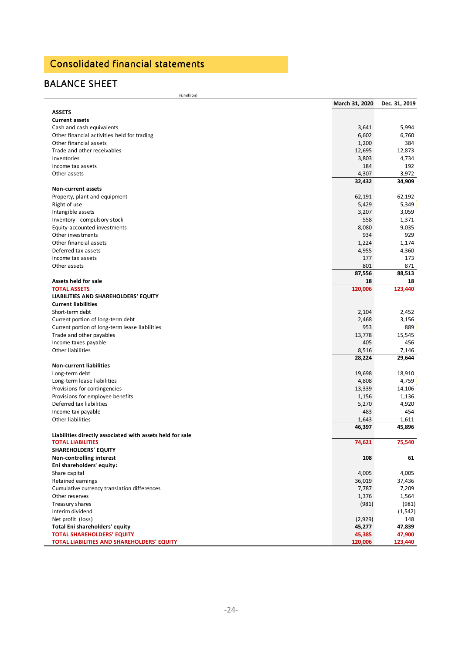# Consolidated financial statements

## BALANCE SHEET

(€ million)

|                                                           | March 31, 2020 | Dec. 31, 2019 |
|-----------------------------------------------------------|----------------|---------------|
| <b>ASSETS</b>                                             |                |               |
| <b>Current assets</b>                                     |                |               |
| Cash and cash equivalents                                 | 3,641          | 5,994         |
| Other financial activities held for trading               | 6,602          | 6,760         |
| Other financial assets                                    | 1,200          | 384           |
| Trade and other receivables                               | 12,695         | 12,873        |
| Inventories                                               | 3,803          | 4,734         |
| Income tax assets                                         | 184            | 192           |
| Other assets                                              | 4,307          | 3,972         |
|                                                           | 32,432         | 34,909        |
| <b>Non-current assets</b>                                 |                |               |
| Property, plant and equipment                             | 62,191         | 62,192        |
| Right of use                                              | 5,429          | 5,349         |
| Intangible assets                                         | 3,207          | 3,059         |
| Inventory - compulsory stock                              | 558            | 1,371         |
| Equity-accounted investments                              | 8,080          | 9,035         |
| Other investments                                         | 934            | 929           |
| Other financial assets                                    | 1,224          | 1,174         |
| Deferred tax assets                                       | 4,955          | 4,360         |
| Income tax assets                                         | 177            | 173           |
| Other assets                                              | 801            | 871           |
|                                                           | 87,556         | 88,513        |
| Assets held for sale                                      | 18             |               |
|                                                           |                | 18<br>123,440 |
| <b>TOTAL ASSETS</b>                                       | 120,006        |               |
| LIABILITIES AND SHAREHOLDERS' EQUITY                      |                |               |
| <b>Current liabilities</b>                                |                |               |
| Short-term debt                                           | 2,104          | 2,452         |
| Current portion of long-term debt                         | 2,468          | 3,156         |
| Current portion of long-term lease liabilities            | 953            | 889           |
| Trade and other payables                                  | 13,778         | 15,545        |
| Income taxes payable                                      | 405            | 456           |
| Other liabilities                                         | 8,516          | 7,146         |
|                                                           | 28,224         | 29,644        |
| <b>Non-current liabilities</b>                            |                |               |
| Long-term debt                                            | 19,698         | 18,910        |
| Long-term lease liabilities                               | 4,808          | 4,759         |
| Provisions for contingencies                              | 13,339         | 14,106        |
| Provisions for employee benefits                          | 1,156          | 1,136         |
| Deferred tax liabilities                                  | 5,270          | 4,920         |
| Income tax payable                                        | 483            | 454           |
| Other liabilities                                         | 1,643          | 1,611         |
|                                                           | 46,397         | 45,896        |
| Liabilities directly associated with assets held for sale |                |               |
| <b>TOTAL LIABILITIES</b>                                  | 74,621         | 75,540        |
| <b>SHAREHOLDERS' EQUITY</b>                               |                |               |
| Non-controlling interest                                  | 108            | 61            |
| Eni shareholders' equity:                                 |                |               |
| Share capital                                             | 4,005          | 4,005         |
| Retained earnings                                         | 36,019         | 37,436        |
| Cumulative currency translation differences               | 7,787          | 7,209         |
| Other reserves                                            | 1,376          | 1,564         |
| Treasury shares                                           | (981)          | (981)         |
| Interim dividend                                          |                | (1, 542)      |
| Net profit (loss)                                         | (2,929)        | 148           |
| Total Eni shareholders' equity                            | 45,277         | 47,839        |
| <b>TOTAL SHAREHOLDERS' EQUITY</b>                         | 45,385         | 47,900        |
| TOTAL LIABILITIES AND SHAREHOLDERS' EQUITY                | 120,006        | 123,440       |
|                                                           |                |               |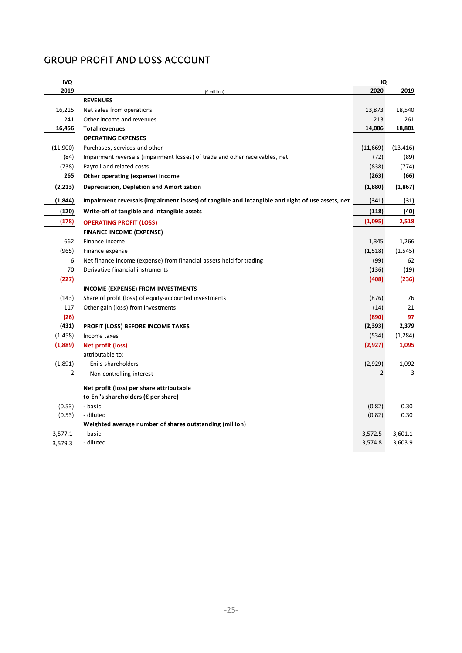## GROUP PROFIT AND LOSS ACCOUNT

| 2019<br>2020<br>2019<br>(€ million)<br><b>REVENUES</b><br>16,215<br>13,873<br>18,540<br>Net sales from operations<br>241<br>213<br>261<br>Other income and revenues<br>16,456<br>14,086<br>18,801<br><b>Total revenues</b><br><b>OPERATING EXPENSES</b><br>(11,900)<br>Purchases, services and other<br>(11,669)<br>(13, 416)<br>(84)<br>Impairment reversals (impairment losses) of trade and other receivables, net<br>(72)<br>(89)<br>(738)<br>Payroll and related costs<br>(838)<br>(774)<br>265<br>(263)<br>Other operating (expense) income<br>(66)<br>(2,213)<br>Depreciation, Depletion and Amortization<br>(1,880)<br>(1,867)<br>(1,844)<br>Impairment reversals (impairment losses) of tangible and intangible and right of use assets, net<br>(341)<br>(31)<br>Write-off of tangible and intangible assets<br>(120)<br>(118)<br>(40)<br>(178)<br>(1,095)<br>2,518<br><b>OPERATING PROFIT (LOSS)</b><br><b>FINANCE INCOME (EXPENSE)</b><br>662<br>Finance income<br>1,345<br>1,266<br>(965)<br>(1,518)<br>(1, 545)<br>Finance expense<br>6<br>(99)<br>62<br>Net finance income (expense) from financial assets held for trading<br>70<br>Derivative financial instruments<br>(136)<br>(19)<br>(227)<br>(408)<br>(236)<br><b>INCOME (EXPENSE) FROM INVESTMENTS</b><br>(143)<br>Share of profit (loss) of equity-accounted investments<br>76<br>(876)<br>21<br>117<br>Other gain (loss) from investments<br>(14)<br>(26)<br>(890)<br>97<br>(431)<br>2,379<br><b>PROFIT (LOSS) BEFORE INCOME TAXES</b><br>(2, 393)<br>(1, 458)<br>(534)<br>(1, 284)<br>Income taxes<br>(1,889)<br>1,095<br>(2,927)<br>Net profit (loss)<br>attributable to:<br>(1,891)<br>- Eni's shareholders<br>(2,929)<br>1,092<br>3<br>$\overline{2}$<br>$\overline{2}$<br>- Non-controlling interest<br>Net profit (loss) per share attributable<br>to Eni's shareholders (€ per share)<br>0.30<br>(0.53)<br>- basic<br>(0.82)<br>0.30<br>(0.53)<br>- diluted<br>(0.82)<br>Weighted average number of shares outstanding (million)<br>3,577.1<br>- basic<br>3,572.5<br>3,601.1<br>- diluted<br>3,574.8<br>3,603.9<br>3,579.3 | <b>IVQ</b> | IQ |  |
|----------------------------------------------------------------------------------------------------------------------------------------------------------------------------------------------------------------------------------------------------------------------------------------------------------------------------------------------------------------------------------------------------------------------------------------------------------------------------------------------------------------------------------------------------------------------------------------------------------------------------------------------------------------------------------------------------------------------------------------------------------------------------------------------------------------------------------------------------------------------------------------------------------------------------------------------------------------------------------------------------------------------------------------------------------------------------------------------------------------------------------------------------------------------------------------------------------------------------------------------------------------------------------------------------------------------------------------------------------------------------------------------------------------------------------------------------------------------------------------------------------------------------------------------------------------------------------------------------------------------------------------------------------------------------------------------------------------------------------------------------------------------------------------------------------------------------------------------------------------------------------------------------------------------------------------------------------------------------------------------------------------------------------------------------------------------------------------------------------|------------|----|--|
|                                                                                                                                                                                                                                                                                                                                                                                                                                                                                                                                                                                                                                                                                                                                                                                                                                                                                                                                                                                                                                                                                                                                                                                                                                                                                                                                                                                                                                                                                                                                                                                                                                                                                                                                                                                                                                                                                                                                                                                                                                                                                                          |            |    |  |
|                                                                                                                                                                                                                                                                                                                                                                                                                                                                                                                                                                                                                                                                                                                                                                                                                                                                                                                                                                                                                                                                                                                                                                                                                                                                                                                                                                                                                                                                                                                                                                                                                                                                                                                                                                                                                                                                                                                                                                                                                                                                                                          |            |    |  |
|                                                                                                                                                                                                                                                                                                                                                                                                                                                                                                                                                                                                                                                                                                                                                                                                                                                                                                                                                                                                                                                                                                                                                                                                                                                                                                                                                                                                                                                                                                                                                                                                                                                                                                                                                                                                                                                                                                                                                                                                                                                                                                          |            |    |  |
|                                                                                                                                                                                                                                                                                                                                                                                                                                                                                                                                                                                                                                                                                                                                                                                                                                                                                                                                                                                                                                                                                                                                                                                                                                                                                                                                                                                                                                                                                                                                                                                                                                                                                                                                                                                                                                                                                                                                                                                                                                                                                                          |            |    |  |
|                                                                                                                                                                                                                                                                                                                                                                                                                                                                                                                                                                                                                                                                                                                                                                                                                                                                                                                                                                                                                                                                                                                                                                                                                                                                                                                                                                                                                                                                                                                                                                                                                                                                                                                                                                                                                                                                                                                                                                                                                                                                                                          |            |    |  |
|                                                                                                                                                                                                                                                                                                                                                                                                                                                                                                                                                                                                                                                                                                                                                                                                                                                                                                                                                                                                                                                                                                                                                                                                                                                                                                                                                                                                                                                                                                                                                                                                                                                                                                                                                                                                                                                                                                                                                                                                                                                                                                          |            |    |  |
|                                                                                                                                                                                                                                                                                                                                                                                                                                                                                                                                                                                                                                                                                                                                                                                                                                                                                                                                                                                                                                                                                                                                                                                                                                                                                                                                                                                                                                                                                                                                                                                                                                                                                                                                                                                                                                                                                                                                                                                                                                                                                                          |            |    |  |
|                                                                                                                                                                                                                                                                                                                                                                                                                                                                                                                                                                                                                                                                                                                                                                                                                                                                                                                                                                                                                                                                                                                                                                                                                                                                                                                                                                                                                                                                                                                                                                                                                                                                                                                                                                                                                                                                                                                                                                                                                                                                                                          |            |    |  |
|                                                                                                                                                                                                                                                                                                                                                                                                                                                                                                                                                                                                                                                                                                                                                                                                                                                                                                                                                                                                                                                                                                                                                                                                                                                                                                                                                                                                                                                                                                                                                                                                                                                                                                                                                                                                                                                                                                                                                                                                                                                                                                          |            |    |  |
|                                                                                                                                                                                                                                                                                                                                                                                                                                                                                                                                                                                                                                                                                                                                                                                                                                                                                                                                                                                                                                                                                                                                                                                                                                                                                                                                                                                                                                                                                                                                                                                                                                                                                                                                                                                                                                                                                                                                                                                                                                                                                                          |            |    |  |
|                                                                                                                                                                                                                                                                                                                                                                                                                                                                                                                                                                                                                                                                                                                                                                                                                                                                                                                                                                                                                                                                                                                                                                                                                                                                                                                                                                                                                                                                                                                                                                                                                                                                                                                                                                                                                                                                                                                                                                                                                                                                                                          |            |    |  |
|                                                                                                                                                                                                                                                                                                                                                                                                                                                                                                                                                                                                                                                                                                                                                                                                                                                                                                                                                                                                                                                                                                                                                                                                                                                                                                                                                                                                                                                                                                                                                                                                                                                                                                                                                                                                                                                                                                                                                                                                                                                                                                          |            |    |  |
|                                                                                                                                                                                                                                                                                                                                                                                                                                                                                                                                                                                                                                                                                                                                                                                                                                                                                                                                                                                                                                                                                                                                                                                                                                                                                                                                                                                                                                                                                                                                                                                                                                                                                                                                                                                                                                                                                                                                                                                                                                                                                                          |            |    |  |
|                                                                                                                                                                                                                                                                                                                                                                                                                                                                                                                                                                                                                                                                                                                                                                                                                                                                                                                                                                                                                                                                                                                                                                                                                                                                                                                                                                                                                                                                                                                                                                                                                                                                                                                                                                                                                                                                                                                                                                                                                                                                                                          |            |    |  |
|                                                                                                                                                                                                                                                                                                                                                                                                                                                                                                                                                                                                                                                                                                                                                                                                                                                                                                                                                                                                                                                                                                                                                                                                                                                                                                                                                                                                                                                                                                                                                                                                                                                                                                                                                                                                                                                                                                                                                                                                                                                                                                          |            |    |  |
|                                                                                                                                                                                                                                                                                                                                                                                                                                                                                                                                                                                                                                                                                                                                                                                                                                                                                                                                                                                                                                                                                                                                                                                                                                                                                                                                                                                                                                                                                                                                                                                                                                                                                                                                                                                                                                                                                                                                                                                                                                                                                                          |            |    |  |
|                                                                                                                                                                                                                                                                                                                                                                                                                                                                                                                                                                                                                                                                                                                                                                                                                                                                                                                                                                                                                                                                                                                                                                                                                                                                                                                                                                                                                                                                                                                                                                                                                                                                                                                                                                                                                                                                                                                                                                                                                                                                                                          |            |    |  |
|                                                                                                                                                                                                                                                                                                                                                                                                                                                                                                                                                                                                                                                                                                                                                                                                                                                                                                                                                                                                                                                                                                                                                                                                                                                                                                                                                                                                                                                                                                                                                                                                                                                                                                                                                                                                                                                                                                                                                                                                                                                                                                          |            |    |  |
|                                                                                                                                                                                                                                                                                                                                                                                                                                                                                                                                                                                                                                                                                                                                                                                                                                                                                                                                                                                                                                                                                                                                                                                                                                                                                                                                                                                                                                                                                                                                                                                                                                                                                                                                                                                                                                                                                                                                                                                                                                                                                                          |            |    |  |
|                                                                                                                                                                                                                                                                                                                                                                                                                                                                                                                                                                                                                                                                                                                                                                                                                                                                                                                                                                                                                                                                                                                                                                                                                                                                                                                                                                                                                                                                                                                                                                                                                                                                                                                                                                                                                                                                                                                                                                                                                                                                                                          |            |    |  |
|                                                                                                                                                                                                                                                                                                                                                                                                                                                                                                                                                                                                                                                                                                                                                                                                                                                                                                                                                                                                                                                                                                                                                                                                                                                                                                                                                                                                                                                                                                                                                                                                                                                                                                                                                                                                                                                                                                                                                                                                                                                                                                          |            |    |  |
|                                                                                                                                                                                                                                                                                                                                                                                                                                                                                                                                                                                                                                                                                                                                                                                                                                                                                                                                                                                                                                                                                                                                                                                                                                                                                                                                                                                                                                                                                                                                                                                                                                                                                                                                                                                                                                                                                                                                                                                                                                                                                                          |            |    |  |
|                                                                                                                                                                                                                                                                                                                                                                                                                                                                                                                                                                                                                                                                                                                                                                                                                                                                                                                                                                                                                                                                                                                                                                                                                                                                                                                                                                                                                                                                                                                                                                                                                                                                                                                                                                                                                                                                                                                                                                                                                                                                                                          |            |    |  |
|                                                                                                                                                                                                                                                                                                                                                                                                                                                                                                                                                                                                                                                                                                                                                                                                                                                                                                                                                                                                                                                                                                                                                                                                                                                                                                                                                                                                                                                                                                                                                                                                                                                                                                                                                                                                                                                                                                                                                                                                                                                                                                          |            |    |  |
|                                                                                                                                                                                                                                                                                                                                                                                                                                                                                                                                                                                                                                                                                                                                                                                                                                                                                                                                                                                                                                                                                                                                                                                                                                                                                                                                                                                                                                                                                                                                                                                                                                                                                                                                                                                                                                                                                                                                                                                                                                                                                                          |            |    |  |
|                                                                                                                                                                                                                                                                                                                                                                                                                                                                                                                                                                                                                                                                                                                                                                                                                                                                                                                                                                                                                                                                                                                                                                                                                                                                                                                                                                                                                                                                                                                                                                                                                                                                                                                                                                                                                                                                                                                                                                                                                                                                                                          |            |    |  |
|                                                                                                                                                                                                                                                                                                                                                                                                                                                                                                                                                                                                                                                                                                                                                                                                                                                                                                                                                                                                                                                                                                                                                                                                                                                                                                                                                                                                                                                                                                                                                                                                                                                                                                                                                                                                                                                                                                                                                                                                                                                                                                          |            |    |  |
|                                                                                                                                                                                                                                                                                                                                                                                                                                                                                                                                                                                                                                                                                                                                                                                                                                                                                                                                                                                                                                                                                                                                                                                                                                                                                                                                                                                                                                                                                                                                                                                                                                                                                                                                                                                                                                                                                                                                                                                                                                                                                                          |            |    |  |
|                                                                                                                                                                                                                                                                                                                                                                                                                                                                                                                                                                                                                                                                                                                                                                                                                                                                                                                                                                                                                                                                                                                                                                                                                                                                                                                                                                                                                                                                                                                                                                                                                                                                                                                                                                                                                                                                                                                                                                                                                                                                                                          |            |    |  |
|                                                                                                                                                                                                                                                                                                                                                                                                                                                                                                                                                                                                                                                                                                                                                                                                                                                                                                                                                                                                                                                                                                                                                                                                                                                                                                                                                                                                                                                                                                                                                                                                                                                                                                                                                                                                                                                                                                                                                                                                                                                                                                          |            |    |  |
|                                                                                                                                                                                                                                                                                                                                                                                                                                                                                                                                                                                                                                                                                                                                                                                                                                                                                                                                                                                                                                                                                                                                                                                                                                                                                                                                                                                                                                                                                                                                                                                                                                                                                                                                                                                                                                                                                                                                                                                                                                                                                                          |            |    |  |
|                                                                                                                                                                                                                                                                                                                                                                                                                                                                                                                                                                                                                                                                                                                                                                                                                                                                                                                                                                                                                                                                                                                                                                                                                                                                                                                                                                                                                                                                                                                                                                                                                                                                                                                                                                                                                                                                                                                                                                                                                                                                                                          |            |    |  |
|                                                                                                                                                                                                                                                                                                                                                                                                                                                                                                                                                                                                                                                                                                                                                                                                                                                                                                                                                                                                                                                                                                                                                                                                                                                                                                                                                                                                                                                                                                                                                                                                                                                                                                                                                                                                                                                                                                                                                                                                                                                                                                          |            |    |  |
|                                                                                                                                                                                                                                                                                                                                                                                                                                                                                                                                                                                                                                                                                                                                                                                                                                                                                                                                                                                                                                                                                                                                                                                                                                                                                                                                                                                                                                                                                                                                                                                                                                                                                                                                                                                                                                                                                                                                                                                                                                                                                                          |            |    |  |
|                                                                                                                                                                                                                                                                                                                                                                                                                                                                                                                                                                                                                                                                                                                                                                                                                                                                                                                                                                                                                                                                                                                                                                                                                                                                                                                                                                                                                                                                                                                                                                                                                                                                                                                                                                                                                                                                                                                                                                                                                                                                                                          |            |    |  |
|                                                                                                                                                                                                                                                                                                                                                                                                                                                                                                                                                                                                                                                                                                                                                                                                                                                                                                                                                                                                                                                                                                                                                                                                                                                                                                                                                                                                                                                                                                                                                                                                                                                                                                                                                                                                                                                                                                                                                                                                                                                                                                          |            |    |  |
|                                                                                                                                                                                                                                                                                                                                                                                                                                                                                                                                                                                                                                                                                                                                                                                                                                                                                                                                                                                                                                                                                                                                                                                                                                                                                                                                                                                                                                                                                                                                                                                                                                                                                                                                                                                                                                                                                                                                                                                                                                                                                                          |            |    |  |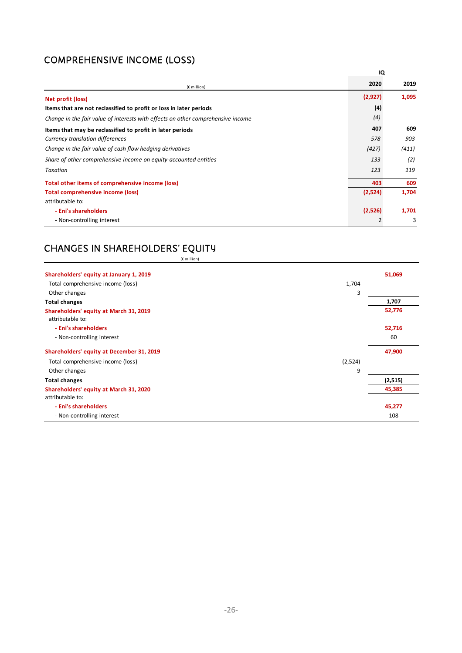# COMPREHENSIVE INCOME (LOSS)

|                                                                                  | IQ             |       |
|----------------------------------------------------------------------------------|----------------|-------|
| $(E$ million)                                                                    | 2020           | 2019  |
| Net profit (loss)                                                                | (2,927)        | 1,095 |
| Items that are not reclassified to profit or loss in later periods               | (4)            |       |
| Change in the fair value of interests with effects on other comprehensive income | (4)            |       |
| Items that may be reclassified to profit in later periods                        | 407            | 609   |
| Currency translation differences                                                 | 578            | 903   |
| Change in the fair value of cash flow hedging derivatives                        | (427)          | (411) |
| Share of other comprehensive income on equity-accounted entities                 | 133            | (2)   |
| Taxation                                                                         | 123            | 119   |
| Total other items of comprehensive income (loss)                                 | 403            | 609   |
| <b>Total comprehensive income (loss)</b>                                         | (2,524)        | 1,704 |
| attributable to:                                                                 |                |       |
| - Eni's shareholders                                                             | (2,526)        | 1,701 |
| - Non-controlling interest                                                       | $\overline{2}$ | 3     |

### CHANGES IN SHAREHOLDERS' EQUITY (€ million)

| Shareholders' equity at January 1, 2019   |         | 51,069   |
|-------------------------------------------|---------|----------|
| Total comprehensive income (loss)         | 1,704   |          |
| Other changes                             | 3       |          |
| <b>Total changes</b>                      |         | 1,707    |
| Shareholders' equity at March 31, 2019    |         | 52,776   |
| attributable to:                          |         |          |
| - Eni's shareholders                      |         | 52,716   |
| - Non-controlling interest                |         | 60       |
| Shareholders' equity at December 31, 2019 |         | 47,900   |
| Total comprehensive income (loss)         | (2,524) |          |
| Other changes                             | 9       |          |
| <b>Total changes</b>                      |         | (2, 515) |
| Shareholders' equity at March 31, 2020    |         | 45,385   |
| attributable to:                          |         |          |
| - Eni's shareholders                      |         | 45,277   |
| - Non-controlling interest                |         | 108      |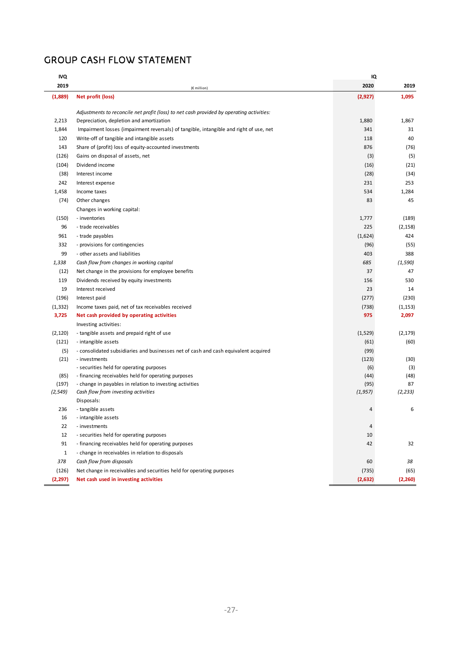## GROUP CASH FLOW STATEMENT

| <b>IVQ</b>   |                                                                                          | IQ       |          |
|--------------|------------------------------------------------------------------------------------------|----------|----------|
| 2019         | (€ million)                                                                              | 2020     | 2019     |
| (1,889)      | Net profit (loss)                                                                        | (2,927)  | 1,095    |
|              |                                                                                          |          |          |
|              | Adjustments to reconcile net profit (loss) to net cash provided by operating activities: |          |          |
| 2,213        | Depreciation, depletion and amortization                                                 | 1,880    | 1,867    |
| 1,844        | Impairment losses (impairment reversals) of tangible, intangible and right of use, net   | 341      | 31       |
| 120          | Write-off of tangible and intangible assets                                              | 118      | 40       |
| 143          | Share of (profit) loss of equity-accounted investments                                   | 876      | (76)     |
| (126)        | Gains on disposal of assets, net                                                         | (3)      | (5)      |
| (104)        | Dividend income                                                                          | (16)     | (21)     |
| (38)         | Interest income                                                                          | (28)     | (34)     |
| 242          | Interest expense                                                                         | 231      | 253      |
| 1,458        | Income taxes                                                                             | 534      | 1,284    |
| (74)         | Other changes                                                                            | 83       | 45       |
|              | Changes in working capital:                                                              |          |          |
| (150)        | - inventories                                                                            | 1,777    | (189)    |
| 96           | - trade receivables                                                                      | 225      | (2, 158) |
| 961          | - trade payables                                                                         | (1,624)  | 424      |
| 332          | - provisions for contingencies                                                           | (96)     | (55)     |
| 99           | - other assets and liabilities                                                           | 403      | 388      |
| 1,338        | Cash flow from changes in working capital                                                | 685      | (1, 590) |
| (12)         | Net change in the provisions for employee benefits                                       | 37       | 47       |
| 119          | Dividends received by equity investments                                                 | 156      | 530      |
| 19           | Interest received                                                                        | 23       | 14       |
| (196)        | Interest paid                                                                            | (277)    | (230)    |
| (1, 332)     | Income taxes paid, net of tax receivables received                                       | (738)    | (1, 153) |
| 3,725        | Net cash provided by operating activities                                                | 975      | 2,097    |
|              | Investing activities:                                                                    |          |          |
| (2, 120)     | - tangible assets and prepaid right of use                                               | (1,529)  | (2, 179) |
| (121)        | - intangible assets                                                                      | (61)     | (60)     |
| (5)          | - consolidated subsidiaries and businesses net of cash and cash equivalent acquired      | (99)     |          |
| (21)         | - investments                                                                            | (123)    | (30)     |
|              | - securities held for operating purposes                                                 | (6)      | (3)      |
| (85)         | - financing receivables held for operating purposes                                      | (44)     | (48)     |
| (197)        | - change in payables in relation to investing activities                                 | (95)     | 87       |
| (2, 549)     | Cash flow from investing activities                                                      | (1, 957) | (2, 233) |
|              | Disposals:                                                                               |          |          |
| 236          | - tangible assets                                                                        | 4        | 6        |
| 16           | - intangible assets                                                                      |          |          |
| 22           | - investments                                                                            | 4        |          |
| 12           | - securities held for operating purposes                                                 | 10       |          |
| 91           | - financing receivables held for operating purposes                                      | 42       | 32       |
| $\mathbf{1}$ | - change in receivables in relation to disposals                                         |          |          |
| 378          | Cash flow from disposals                                                                 | 60       | 38       |
| (126)        | Net change in receivables and securities held for operating purposes                     | (735)    | (65)     |
| (2, 297)     | Net cash used in investing activities                                                    | (2,632)  | (2,260)  |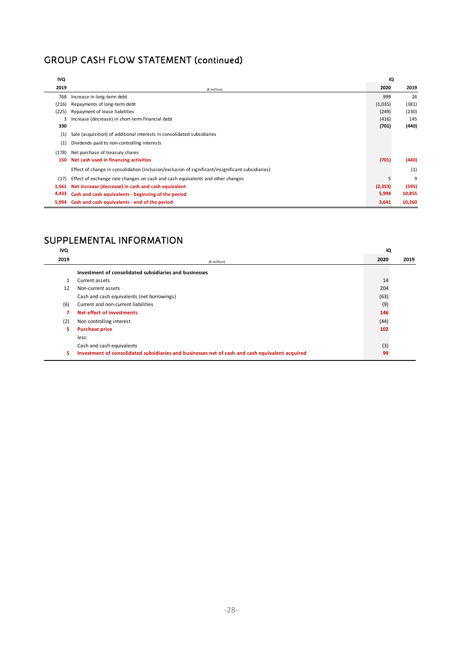# GROUP CASH FLOW STATEMENT (continued)

| IVQ   |                                                                                                   | IQ      |        |
|-------|---------------------------------------------------------------------------------------------------|---------|--------|
| 2019  | (€ million)                                                                                       | 2020    | 2019   |
| 768   | Increase in long-term debt                                                                        | 999     | 26     |
| (216) | Repayments of long-term debt                                                                      | (1,035) | (381)  |
| (225) | Repayment of lease liabilities                                                                    | (249)   | (230)  |
|       | Increase (decrease) in short-term financial debt                                                  | (416)   | 145    |
| 330   |                                                                                                   | (701)   | (440)  |
| (1)   | Sale (acquisition) of additional interests in consolidated subsidiaries                           |         |        |
| (1)   | Dividends paid to non-controlling interests                                                       |         |        |
| (178) | Net purchase of treasury shares                                                                   |         |        |
| 150   | Net cash used in financing activities                                                             | (701)   | (440)  |
|       | Effect of change in consolidation (inclusion/exclusion of significant/insignificant subsidiaries) |         | (1)    |
| (17)  | Effect of exchange rate changes on cash and cash equivalents and other changes                    |         | 9      |
| 1,561 | Net increase (decrease) in cash and cash equivalent                                               | (2,353) | (595)  |
| 4,433 | Cash and cash equivalents - beginning of the period                                               | 5,994   | 10,855 |
| 5.994 | Cash and cash equivalents - end of the period                                                     | 3,641   | 10,260 |

## SUPPLEMENTAL INFORMATION

| <b>IVQ</b> |                                                                                                 | IQ   |      |
|------------|-------------------------------------------------------------------------------------------------|------|------|
| 2019       | $(E$ million)                                                                                   | 2020 | 2019 |
|            | Investment of consolidated subsidiaries and businesses                                          |      |      |
|            | Current assets                                                                                  | 14   |      |
| 12         | Non-current assets                                                                              | 204  |      |
|            | Cash and cash equivalents (net borrowings)                                                      | (63) |      |
| (6)        | Current and non-current liabilities                                                             | (9)  |      |
| 7          | Net effect of investments                                                                       | 146  |      |
| (2)        | Non controlling interest                                                                        | (44) |      |
| 5.         | <b>Purchase price</b>                                                                           | 102  |      |
|            | less:                                                                                           |      |      |
|            | Cash and cash equivalents                                                                       | (3)  |      |
| 5.         | Investment of consolidated subsidiaries and businesses net of cash and cash equivalent acquired | 99   |      |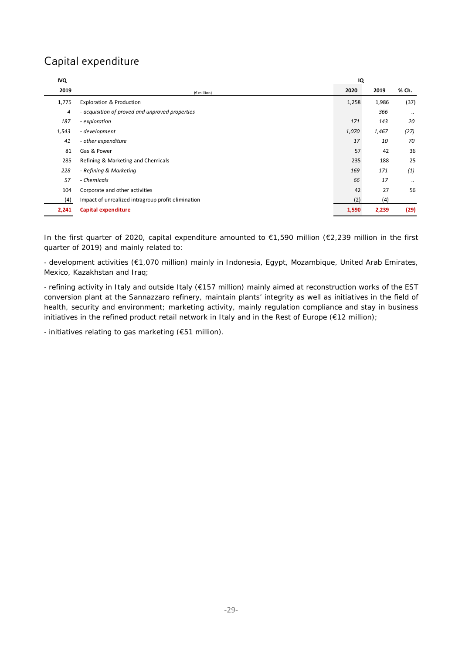# Capital expenditure

| <b>IVQ</b> |                                                    | IQ    |       |          |
|------------|----------------------------------------------------|-------|-------|----------|
| 2019       | (€ million)                                        | 2020  | 2019  | % Ch.    |
| 1,775      | <b>Exploration &amp; Production</b>                | 1,258 | 1,986 | (37)     |
| 4          | - acquisition of proved and unproved properties    |       | 366   | $\cdots$ |
| 187        | - exploration                                      | 171   | 143   | 20       |
| 1,543      | - development                                      | 1,070 | 1,467 | (27)     |
| 41         | - other expenditure                                | 17    | 10    | 70       |
| 81         | Gas & Power                                        | 57    | 42    | 36       |
| 285        | Refining & Marketing and Chemicals                 | 235   | 188   | 25       |
| 228        | - Refining & Marketing                             | 169   | 171   | (1)      |
| 57         | - Chemicals                                        | 66    | 17    |          |
| 104        | Corporate and other activities                     | 42    | 27    | 56       |
| (4)        | Impact of unrealized intragroup profit elimination | (2)   | (4)   |          |
| 2,241      | <b>Capital expenditure</b>                         | 1,590 | 2,239 | (29)     |

In the first quarter of 2020, capital expenditure amounted to €1,590 million (€2,239 million in the first quarter of 2019) and mainly related to:

- development activities (€1,070 million) mainly in Indonesia, Egypt, Mozambique, United Arab Emirates, Mexico, Kazakhstan and Iraq;

- refining activity in Italy and outside Italy (€157 million) mainly aimed at reconstruction works of the EST conversion plant at the Sannazzaro refinery, maintain plants' integrity as well as initiatives in the field of health, security and environment; marketing activity, mainly regulation compliance and stay in business initiatives in the refined product retail network in Italy and in the Rest of Europe (€12 million);

- initiatives relating to gas marketing (€51 million).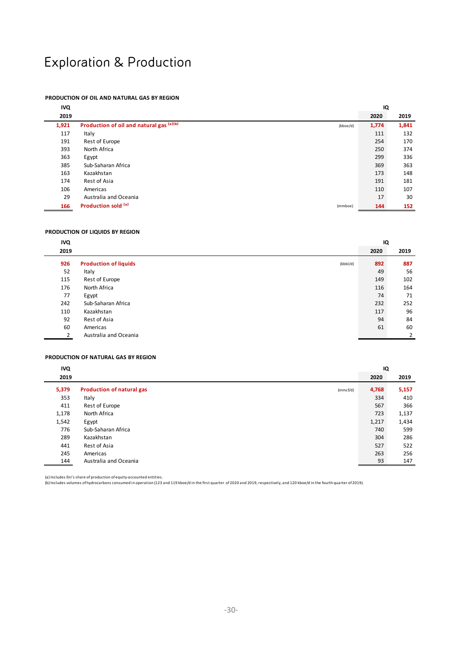# Exploration & Production

### **PRODUCTION OF OIL AND NATURAL GAS BY REGION**

| <b>IVQ</b> |                                          |          | IQ    |       |
|------------|------------------------------------------|----------|-------|-------|
| 2019       |                                          |          | 2020  | 2019  |
| 1,921      | Production of oil and natural gas (a)(b) | (kboe/d) | 1,774 | 1,841 |
| 117        | Italy                                    |          | 111   | 132   |
| 191        | Rest of Europe                           |          | 254   | 170   |
| 393        | North Africa                             |          | 250   | 374   |
| 363        | Egypt                                    |          | 299   | 336   |
| 385        | Sub-Saharan Africa                       |          | 369   | 363   |
| 163        | Kazakhstan                               |          | 173   | 148   |
| 174        | Rest of Asia                             |          | 191   | 181   |
| 106        | Americas                                 |          | 110   | 107   |
| 29         | Australia and Oceania                    |          | 17    | 30    |
| 166        | Production sold (a)                      | (mmboe)  | 144   | 152   |

#### **PRODUCTION OF LIQUIDS BY REGION**

| <b>IVQ</b> |                                          | IQ   |      |
|------------|------------------------------------------|------|------|
| 2019       |                                          | 2020 | 2019 |
| 926        | <b>Production of liquids</b><br>(kbbI/d) | 892  | 887  |
| 52         | Italy                                    | 49   | 56   |
| 115        | Rest of Europe                           | 149  | 102  |
| 176        | North Africa                             | 116  | 164  |
| 77         | Egypt                                    | 74   | 71   |
| 242        | Sub-Saharan Africa                       | 232  | 252  |
| 110        | Kazakhstan                               | 117  | 96   |
| 92         | Rest of Asia                             | 94   | 84   |
| 60         | Americas                                 | 61   | 60   |
|            | Australia and Oceania                    |      | 2    |

#### **PRODUCTION OF NATURAL GAS BY REGION**

| <b>IVQ</b> |                                              | IQ    |       |
|------------|----------------------------------------------|-------|-------|
| 2019       |                                              | 2020  | 2019  |
| 5,379      | <b>Production of natural gas</b><br>(mmcf/d) | 4,768 | 5,157 |
| 353        | Italy                                        | 334   | 410   |
| 411        | Rest of Europe                               | 567   | 366   |
| 1,178      | North Africa                                 | 723   | 1,137 |
| 1,542      | Egypt                                        | 1,217 | 1,434 |
| 776        | Sub-Saharan Africa                           | 740   | 599   |
| 289        | Kazakhstan                                   | 304   | 286   |
| 441        | Rest of Asia                                 | 527   | 522   |
| 245        | Americas                                     | 263   | 256   |
| 144        | Australia and Oceania                        | 93    | 147   |

(a) Includes Eni's share ofproduction of equity-accounted entities.<br>(b) Includes volumes of hydrocarbons consumed in operation (123 and 119 kboe/d in the first quarter of 2020 and 2019, respectively, and 120 kboe/d in the